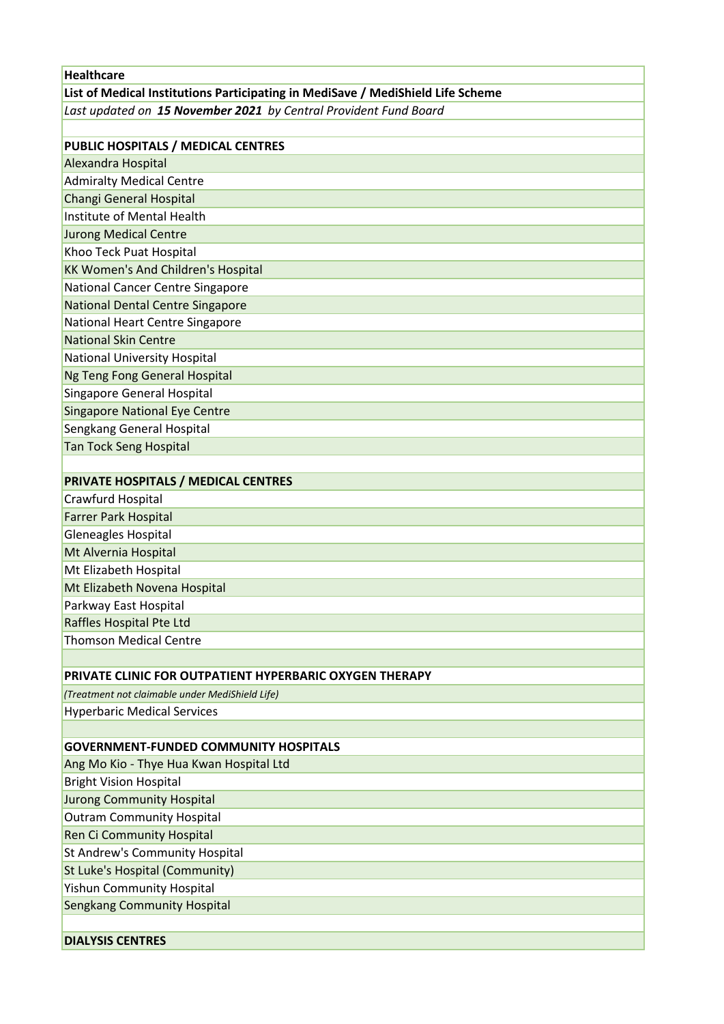| <b>Healthcare</b>                                                               |
|---------------------------------------------------------------------------------|
| List of Medical Institutions Participating in MediSave / MediShield Life Scheme |
| Last updated on 15 November 2021 by Central Provident Fund Board                |
|                                                                                 |
| PUBLIC HOSPITALS / MEDICAL CENTRES                                              |
| Alexandra Hospital                                                              |
| <b>Admiralty Medical Centre</b>                                                 |
| <b>Changi General Hospital</b>                                                  |
| Institute of Mental Health                                                      |
| <b>Jurong Medical Centre</b>                                                    |
| Khoo Teck Puat Hospital                                                         |
| <b>KK Women's And Children's Hospital</b>                                       |
| National Cancer Centre Singapore                                                |
| <b>National Dental Centre Singapore</b>                                         |
| National Heart Centre Singapore                                                 |
| <b>National Skin Centre</b>                                                     |
| National University Hospital                                                    |
| Ng Teng Fong General Hospital                                                   |
| <b>Singapore General Hospital</b>                                               |
| <b>Singapore National Eye Centre</b>                                            |
| Sengkang General Hospital                                                       |
| <b>Tan Tock Seng Hospital</b>                                                   |
|                                                                                 |
| <b>PRIVATE HOSPITALS / MEDICAL CENTRES</b>                                      |
| Crawfurd Hospital                                                               |
| <b>Farrer Park Hospital</b>                                                     |
| Gleneagles Hospital                                                             |
| Mt Alvernia Hospital                                                            |
| Mt Elizabeth Hospital                                                           |
| Mt Elizabeth Novena Hospital                                                    |
| Parkway East Hospital                                                           |
| Raffles Hospital Pte Ltd                                                        |
| <b>Thomson Medical Centre</b>                                                   |
|                                                                                 |
| PRIVATE CLINIC FOR OUTPATIENT HYPERBARIC OXYGEN THERAPY                         |
| (Treatment not claimable under MediShield Life)                                 |
| <b>Hyperbaric Medical Services</b>                                              |
|                                                                                 |
| <b>GOVERNMENT-FUNDED COMMUNITY HOSPITALS</b>                                    |
| Ang Mo Kio - Thye Hua Kwan Hospital Ltd                                         |
| <b>Bright Vision Hospital</b>                                                   |
| <b>Jurong Community Hospital</b>                                                |
| <b>Outram Community Hospital</b>                                                |
| Ren Ci Community Hospital                                                       |
| St Andrew's Community Hospital                                                  |
| St Luke's Hospital (Community)                                                  |
| <b>Yishun Community Hospital</b>                                                |
| <b>Sengkang Community Hospital</b>                                              |
|                                                                                 |
| <b>DIALYSIS CENTRES</b>                                                         |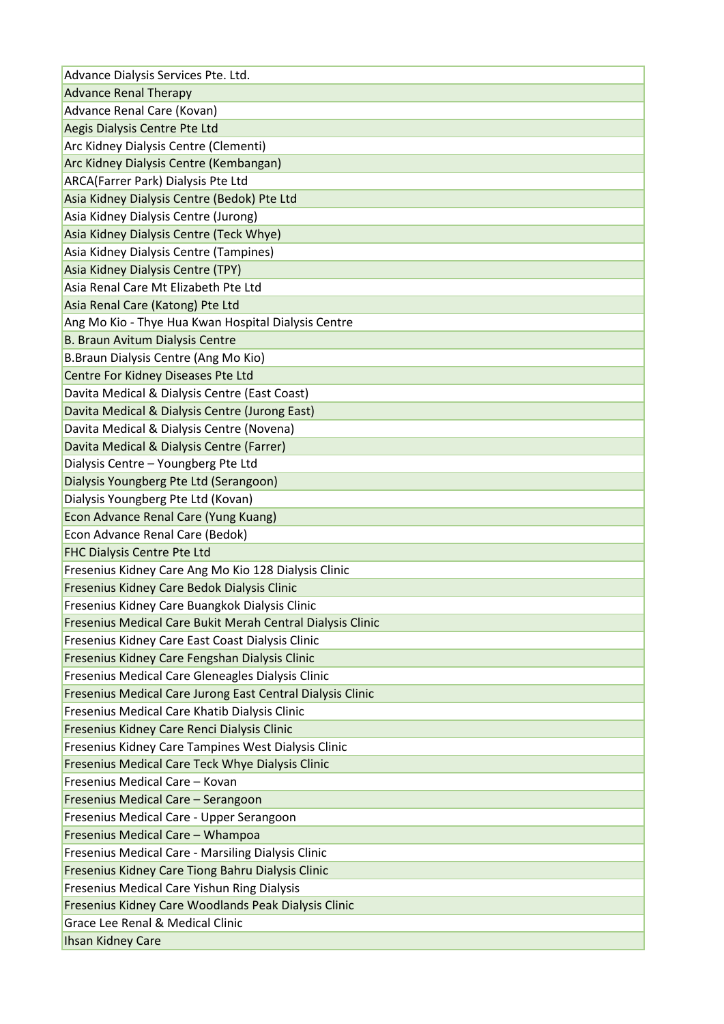| Advance Dialysis Services Pte. Ltd.                                                      |
|------------------------------------------------------------------------------------------|
| <b>Advance Renal Therapy</b>                                                             |
| Advance Renal Care (Kovan)                                                               |
| Aegis Dialysis Centre Pte Ltd                                                            |
| Arc Kidney Dialysis Centre (Clementi)                                                    |
| Arc Kidney Dialysis Centre (Kembangan)                                                   |
| ARCA(Farrer Park) Dialysis Pte Ltd                                                       |
| Asia Kidney Dialysis Centre (Bedok) Pte Ltd                                              |
| Asia Kidney Dialysis Centre (Jurong)                                                     |
| Asia Kidney Dialysis Centre (Teck Whye)                                                  |
| Asia Kidney Dialysis Centre (Tampines)                                                   |
| Asia Kidney Dialysis Centre (TPY)                                                        |
| Asia Renal Care Mt Elizabeth Pte Ltd                                                     |
| Asia Renal Care (Katong) Pte Ltd                                                         |
| Ang Mo Kio - Thye Hua Kwan Hospital Dialysis Centre                                      |
| B. Braun Avitum Dialysis Centre                                                          |
| B.Braun Dialysis Centre (Ang Mo Kio)                                                     |
| Centre For Kidney Diseases Pte Ltd                                                       |
| Davita Medical & Dialysis Centre (East Coast)                                            |
| Davita Medical & Dialysis Centre (Jurong East)                                           |
| Davita Medical & Dialysis Centre (Novena)                                                |
| Davita Medical & Dialysis Centre (Farrer)                                                |
| Dialysis Centre - Youngberg Pte Ltd                                                      |
| Dialysis Youngberg Pte Ltd (Serangoon)                                                   |
| Dialysis Youngberg Pte Ltd (Kovan)                                                       |
| Econ Advance Renal Care (Yung Kuang)                                                     |
| Econ Advance Renal Care (Bedok)                                                          |
| FHC Dialysis Centre Pte Ltd                                                              |
| Fresenius Kidney Care Ang Mo Kio 128 Dialysis Clinic                                     |
| Fresenius Kidney Care Bedok Dialysis Clinic                                              |
| Fresenius Kidney Care Buangkok Dialysis Clinic                                           |
| Fresenius Medical Care Bukit Merah Central Dialysis Clinic                               |
| Fresenius Kidney Care East Coast Dialysis Clinic                                         |
| Fresenius Kidney Care Fengshan Dialysis Clinic                                           |
| Fresenius Medical Care Gleneagles Dialysis Clinic                                        |
| Fresenius Medical Care Jurong East Central Dialysis Clinic                               |
| Fresenius Medical Care Khatib Dialysis Clinic                                            |
| Fresenius Kidney Care Renci Dialysis Clinic                                              |
| Fresenius Kidney Care Tampines West Dialysis Clinic                                      |
| Fresenius Medical Care Teck Whye Dialysis Clinic                                         |
| Fresenius Medical Care - Kovan                                                           |
|                                                                                          |
|                                                                                          |
| Fresenius Medical Care - Serangoon                                                       |
| Fresenius Medical Care - Upper Serangoon                                                 |
| Fresenius Medical Care - Whampoa                                                         |
| Fresenius Medical Care - Marsiling Dialysis Clinic                                       |
| Fresenius Kidney Care Tiong Bahru Dialysis Clinic                                        |
| Fresenius Medical Care Yishun Ring Dialysis                                              |
| Fresenius Kidney Care Woodlands Peak Dialysis Clinic<br>Grace Lee Renal & Medical Clinic |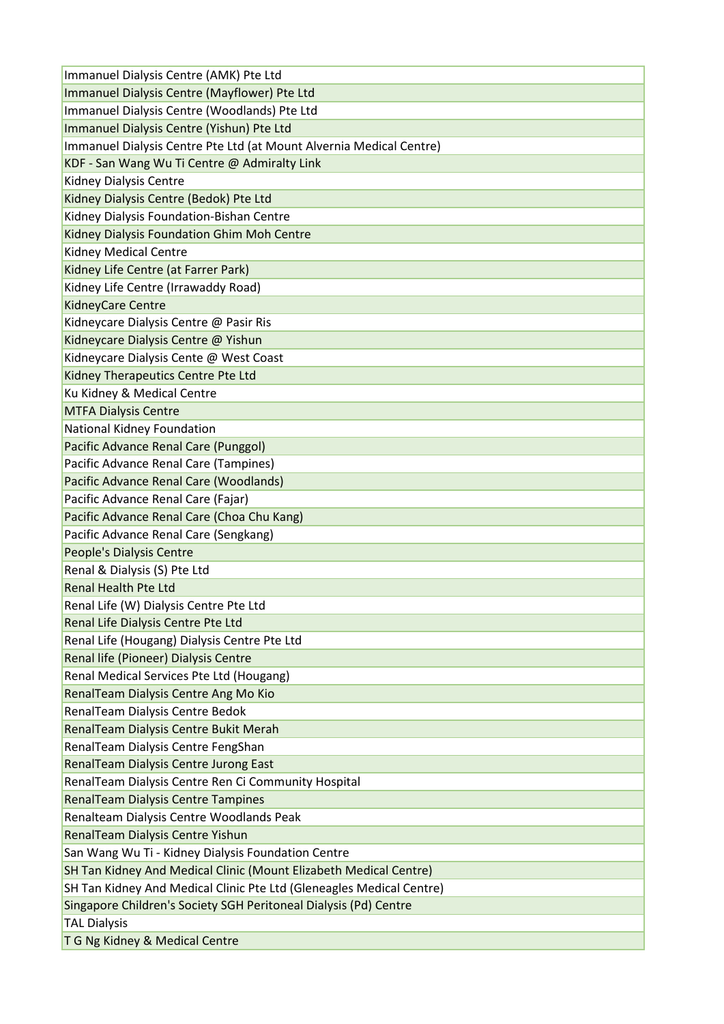| Immanuel Dialysis Centre (AMK) Pte Ltd                               |
|----------------------------------------------------------------------|
| Immanuel Dialysis Centre (Mayflower) Pte Ltd                         |
| Immanuel Dialysis Centre (Woodlands) Pte Ltd                         |
| Immanuel Dialysis Centre (Yishun) Pte Ltd                            |
| Immanuel Dialysis Centre Pte Ltd (at Mount Alvernia Medical Centre)  |
| KDF - San Wang Wu Ti Centre @ Admiralty Link                         |
| Kidney Dialysis Centre                                               |
| Kidney Dialysis Centre (Bedok) Pte Ltd                               |
| Kidney Dialysis Foundation-Bishan Centre                             |
| Kidney Dialysis Foundation Ghim Moh Centre                           |
| <b>Kidney Medical Centre</b>                                         |
| Kidney Life Centre (at Farrer Park)                                  |
| Kidney Life Centre (Irrawaddy Road)                                  |
| KidneyCare Centre                                                    |
| Kidneycare Dialysis Centre @ Pasir Ris                               |
| Kidneycare Dialysis Centre @ Yishun                                  |
| Kidneycare Dialysis Cente @ West Coast                               |
| Kidney Therapeutics Centre Pte Ltd                                   |
| Ku Kidney & Medical Centre                                           |
| <b>MTFA Dialysis Centre</b>                                          |
| National Kidney Foundation                                           |
| Pacific Advance Renal Care (Punggol)                                 |
| Pacific Advance Renal Care (Tampines)                                |
| Pacific Advance Renal Care (Woodlands)                               |
| Pacific Advance Renal Care (Fajar)                                   |
| Pacific Advance Renal Care (Choa Chu Kang)                           |
| Pacific Advance Renal Care (Sengkang)                                |
| People's Dialysis Centre                                             |
| Renal & Dialysis (S) Pte Ltd                                         |
| <b>Renal Health Pte Ltd</b>                                          |
| Renal Life (W) Dialysis Centre Pte Ltd                               |
| Renal Life Dialysis Centre Pte Ltd                                   |
| Renal Life (Hougang) Dialysis Centre Pte Ltd                         |
| Renal life (Pioneer) Dialysis Centre                                 |
| Renal Medical Services Pte Ltd (Hougang)                             |
| RenalTeam Dialysis Centre Ang Mo Kio                                 |
| RenalTeam Dialysis Centre Bedok                                      |
| RenalTeam Dialysis Centre Bukit Merah                                |
| RenalTeam Dialysis Centre FengShan                                   |
| RenalTeam Dialysis Centre Jurong East                                |
| RenalTeam Dialysis Centre Ren Ci Community Hospital                  |
| <b>RenalTeam Dialysis Centre Tampines</b>                            |
| Renalteam Dialysis Centre Woodlands Peak                             |
| RenalTeam Dialysis Centre Yishun                                     |
| San Wang Wu Ti - Kidney Dialysis Foundation Centre                   |
| SH Tan Kidney And Medical Clinic (Mount Elizabeth Medical Centre)    |
| SH Tan Kidney And Medical Clinic Pte Ltd (Gleneagles Medical Centre) |
| Singapore Children's Society SGH Peritoneal Dialysis (Pd) Centre     |
| <b>TAL Dialysis</b>                                                  |
| T G Ng Kidney & Medical Centre                                       |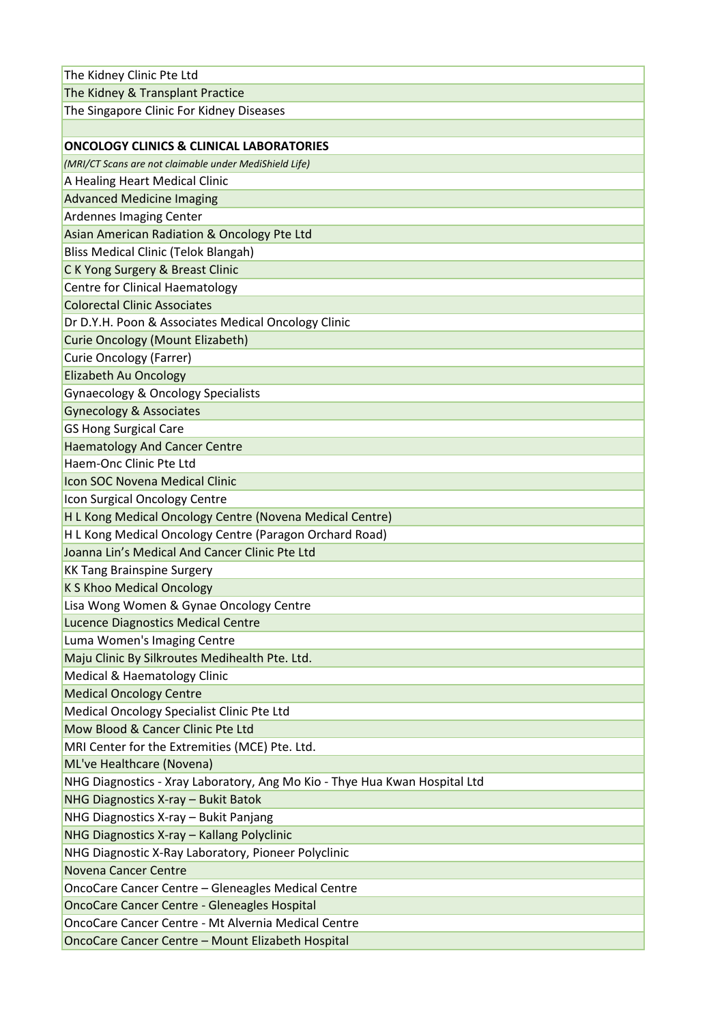| The Kidney Clinic Pte Ltd                                                  |
|----------------------------------------------------------------------------|
| The Kidney & Transplant Practice                                           |
| The Singapore Clinic For Kidney Diseases                                   |
|                                                                            |
| <b>ONCOLOGY CLINICS &amp; CLINICAL LABORATORIES</b>                        |
| (MRI/CT Scans are not claimable under MediShield Life)                     |
| A Healing Heart Medical Clinic                                             |
| <b>Advanced Medicine Imaging</b>                                           |
| Ardennes Imaging Center                                                    |
| Asian American Radiation & Oncology Pte Ltd                                |
| <b>Bliss Medical Clinic (Telok Blangah)</b>                                |
| C K Yong Surgery & Breast Clinic                                           |
| <b>Centre for Clinical Haematology</b>                                     |
| <b>Colorectal Clinic Associates</b>                                        |
| Dr D.Y.H. Poon & Associates Medical Oncology Clinic                        |
| <b>Curie Oncology (Mount Elizabeth)</b>                                    |
| <b>Curie Oncology (Farrer)</b>                                             |
| <b>Elizabeth Au Oncology</b>                                               |
| <b>Gynaecology &amp; Oncology Specialists</b>                              |
| <b>Gynecology &amp; Associates</b>                                         |
| <b>GS Hong Surgical Care</b>                                               |
| <b>Haematology And Cancer Centre</b>                                       |
| Haem-Onc Clinic Pte Ltd                                                    |
| Icon SOC Novena Medical Clinic                                             |
| Icon Surgical Oncology Centre                                              |
| H L Kong Medical Oncology Centre (Novena Medical Centre)                   |
| H L Kong Medical Oncology Centre (Paragon Orchard Road)                    |
| Joanna Lin's Medical And Cancer Clinic Pte Ltd                             |
| <b>KK Tang Brainspine Surgery</b>                                          |
| <b>K S Khoo Medical Oncology</b>                                           |
| Lisa Wong Women & Gynae Oncology Centre                                    |
| <b>Lucence Diagnostics Medical Centre</b>                                  |
| Luma Women's Imaging Centre                                                |
| Maju Clinic By Silkroutes Medihealth Pte. Ltd.                             |
| Medical & Haematology Clinic                                               |
| <b>Medical Oncology Centre</b>                                             |
| Medical Oncology Specialist Clinic Pte Ltd                                 |
| Mow Blood & Cancer Clinic Pte Ltd                                          |
| MRI Center for the Extremities (MCE) Pte. Ltd.                             |
| ML've Healthcare (Novena)                                                  |
| NHG Diagnostics - Xray Laboratory, Ang Mo Kio - Thye Hua Kwan Hospital Ltd |
| NHG Diagnostics X-ray - Bukit Batok                                        |
| NHG Diagnostics X-ray - Bukit Panjang                                      |
| NHG Diagnostics X-ray - Kallang Polyclinic                                 |
| NHG Diagnostic X-Ray Laboratory, Pioneer Polyclinic                        |
| <b>Novena Cancer Centre</b>                                                |
| OncoCare Cancer Centre - Gleneagles Medical Centre                         |
| <b>OncoCare Cancer Centre - Gleneagles Hospital</b>                        |
| OncoCare Cancer Centre - Mt Alvernia Medical Centre                        |
| OncoCare Cancer Centre - Mount Elizabeth Hospital                          |
|                                                                            |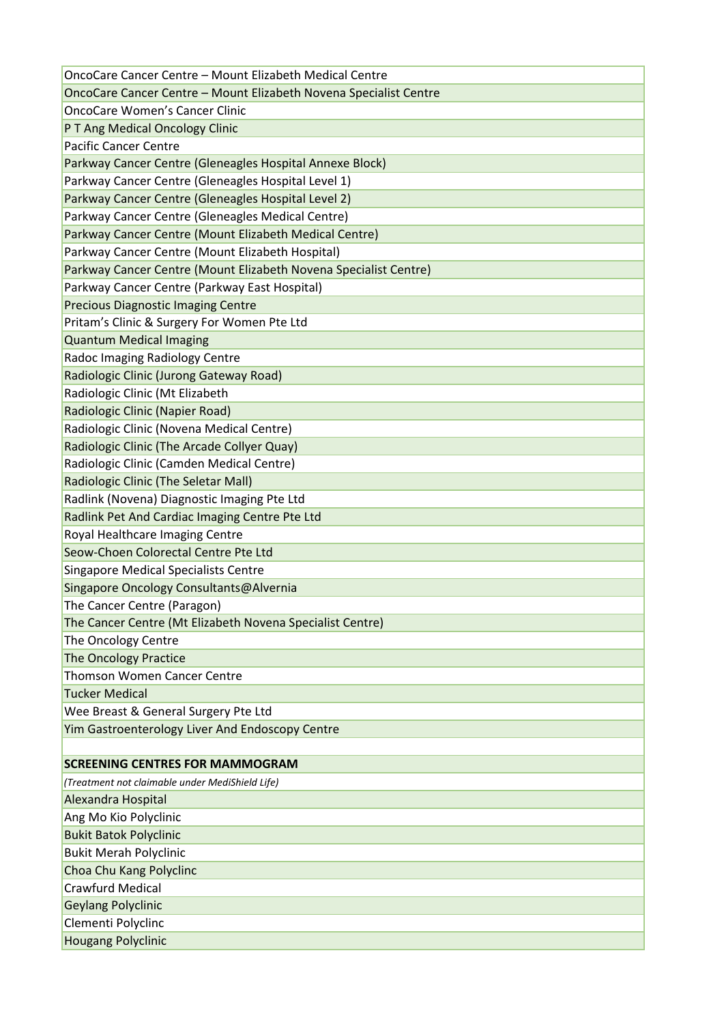| OncoCare Cancer Centre - Mount Elizabeth Novena Specialist Centre<br><b>OncoCare Women's Cancer Clinic</b><br>P T Ang Medical Oncology Clinic<br><b>Pacific Cancer Centre</b><br>Parkway Cancer Centre (Gleneagles Hospital Annexe Block)<br>Parkway Cancer Centre (Gleneagles Hospital Level 1) |
|--------------------------------------------------------------------------------------------------------------------------------------------------------------------------------------------------------------------------------------------------------------------------------------------------|
|                                                                                                                                                                                                                                                                                                  |
|                                                                                                                                                                                                                                                                                                  |
|                                                                                                                                                                                                                                                                                                  |
|                                                                                                                                                                                                                                                                                                  |
|                                                                                                                                                                                                                                                                                                  |
|                                                                                                                                                                                                                                                                                                  |
| Parkway Cancer Centre (Gleneagles Hospital Level 2)                                                                                                                                                                                                                                              |
| Parkway Cancer Centre (Gleneagles Medical Centre)                                                                                                                                                                                                                                                |
| Parkway Cancer Centre (Mount Elizabeth Medical Centre)                                                                                                                                                                                                                                           |
| Parkway Cancer Centre (Mount Elizabeth Hospital)                                                                                                                                                                                                                                                 |
| Parkway Cancer Centre (Mount Elizabeth Novena Specialist Centre)                                                                                                                                                                                                                                 |
| Parkway Cancer Centre (Parkway East Hospital)                                                                                                                                                                                                                                                    |
| <b>Precious Diagnostic Imaging Centre</b>                                                                                                                                                                                                                                                        |
| Pritam's Clinic & Surgery For Women Pte Ltd                                                                                                                                                                                                                                                      |
| <b>Quantum Medical Imaging</b>                                                                                                                                                                                                                                                                   |
| Radoc Imaging Radiology Centre                                                                                                                                                                                                                                                                   |
| Radiologic Clinic (Jurong Gateway Road)                                                                                                                                                                                                                                                          |
| Radiologic Clinic (Mt Elizabeth                                                                                                                                                                                                                                                                  |
| Radiologic Clinic (Napier Road)                                                                                                                                                                                                                                                                  |
| Radiologic Clinic (Novena Medical Centre)                                                                                                                                                                                                                                                        |
| Radiologic Clinic (The Arcade Collyer Quay)                                                                                                                                                                                                                                                      |
| Radiologic Clinic (Camden Medical Centre)                                                                                                                                                                                                                                                        |
| Radiologic Clinic (The Seletar Mall)                                                                                                                                                                                                                                                             |
| Radlink (Novena) Diagnostic Imaging Pte Ltd                                                                                                                                                                                                                                                      |
| Radlink Pet And Cardiac Imaging Centre Pte Ltd                                                                                                                                                                                                                                                   |
| Royal Healthcare Imaging Centre                                                                                                                                                                                                                                                                  |
| Seow-Choen Colorectal Centre Pte Ltd                                                                                                                                                                                                                                                             |
| <b>Singapore Medical Specialists Centre</b>                                                                                                                                                                                                                                                      |
| Singapore Oncology Consultants@Alvernia                                                                                                                                                                                                                                                          |
| The Cancer Centre (Paragon)                                                                                                                                                                                                                                                                      |
| The Cancer Centre (Mt Elizabeth Novena Specialist Centre)                                                                                                                                                                                                                                        |
| The Oncology Centre                                                                                                                                                                                                                                                                              |
| <b>The Oncology Practice</b>                                                                                                                                                                                                                                                                     |
| <b>Thomson Women Cancer Centre</b>                                                                                                                                                                                                                                                               |
| <b>Tucker Medical</b>                                                                                                                                                                                                                                                                            |
| Wee Breast & General Surgery Pte Ltd                                                                                                                                                                                                                                                             |
| Yim Gastroenterology Liver And Endoscopy Centre                                                                                                                                                                                                                                                  |
|                                                                                                                                                                                                                                                                                                  |
| <b>SCREENING CENTRES FOR MAMMOGRAM</b>                                                                                                                                                                                                                                                           |
| (Treatment not claimable under MediShield Life)                                                                                                                                                                                                                                                  |
| Alexandra Hospital                                                                                                                                                                                                                                                                               |
| Ang Mo Kio Polyclinic                                                                                                                                                                                                                                                                            |
| <b>Bukit Batok Polyclinic</b>                                                                                                                                                                                                                                                                    |
| <b>Bukit Merah Polyclinic</b>                                                                                                                                                                                                                                                                    |
| Choa Chu Kang Polyclinc                                                                                                                                                                                                                                                                          |
| <b>Crawfurd Medical</b>                                                                                                                                                                                                                                                                          |
|                                                                                                                                                                                                                                                                                                  |
| <b>Geylang Polyclinic</b>                                                                                                                                                                                                                                                                        |
| Clementi Polyclinc                                                                                                                                                                                                                                                                               |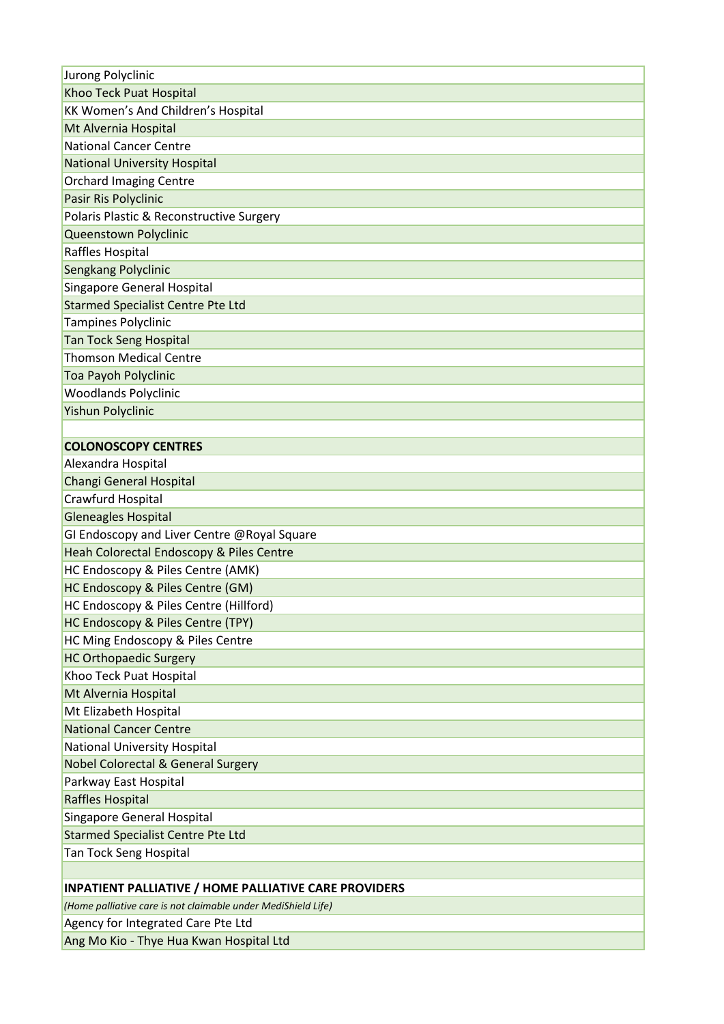| Jurong Polyclinic                                             |
|---------------------------------------------------------------|
| Khoo Teck Puat Hospital                                       |
| KK Women's And Children's Hospital                            |
| Mt Alvernia Hospital                                          |
| <b>National Cancer Centre</b>                                 |
| <b>National University Hospital</b>                           |
| <b>Orchard Imaging Centre</b>                                 |
| Pasir Ris Polyclinic                                          |
| Polaris Plastic & Reconstructive Surgery                      |
| Queenstown Polyclinic                                         |
| Raffles Hospital                                              |
| Sengkang Polyclinic                                           |
| Singapore General Hospital                                    |
| <b>Starmed Specialist Centre Pte Ltd</b>                      |
| Tampines Polyclinic                                           |
| <b>Tan Tock Seng Hospital</b>                                 |
| <b>Thomson Medical Centre</b>                                 |
| Toa Payoh Polyclinic                                          |
| <b>Woodlands Polyclinic</b>                                   |
| Yishun Polyclinic                                             |
|                                                               |
| <b>COLONOSCOPY CENTRES</b>                                    |
| Alexandra Hospital                                            |
| Changi General Hospital                                       |
| Crawfurd Hospital                                             |
| <b>Gleneagles Hospital</b>                                    |
| GI Endoscopy and Liver Centre @Royal Square                   |
| Heah Colorectal Endoscopy & Piles Centre                      |
| HC Endoscopy & Piles Centre (AMK)                             |
| HC Endoscopy & Piles Centre (GM)                              |
| HC Endoscopy & Piles Centre (Hillford)                        |
| HC Endoscopy & Piles Centre (TPY)                             |
| HC Ming Endoscopy & Piles Centre                              |
| <b>HC Orthopaedic Surgery</b>                                 |
| Khoo Teck Puat Hospital                                       |
| Mt Alvernia Hospital                                          |
| Mt Elizabeth Hospital                                         |
| <b>National Cancer Centre</b>                                 |
| <b>National University Hospital</b>                           |
| <b>Nobel Colorectal &amp; General Surgery</b>                 |
| Parkway East Hospital                                         |
| Raffles Hospital                                              |
| Singapore General Hospital                                    |
| <b>Starmed Specialist Centre Pte Ltd</b>                      |
| Tan Tock Seng Hospital                                        |
|                                                               |
| <b>INPATIENT PALLIATIVE / HOME PALLIATIVE CARE PROVIDERS</b>  |
| (Home palliative care is not claimable under MediShield Life) |
| Agency for Integrated Care Pte Ltd                            |
| Ang Mo Kio - Thye Hua Kwan Hosnital Itd                       |

Ang Mo Kio - Thye Hua Kwan Hospital Ltd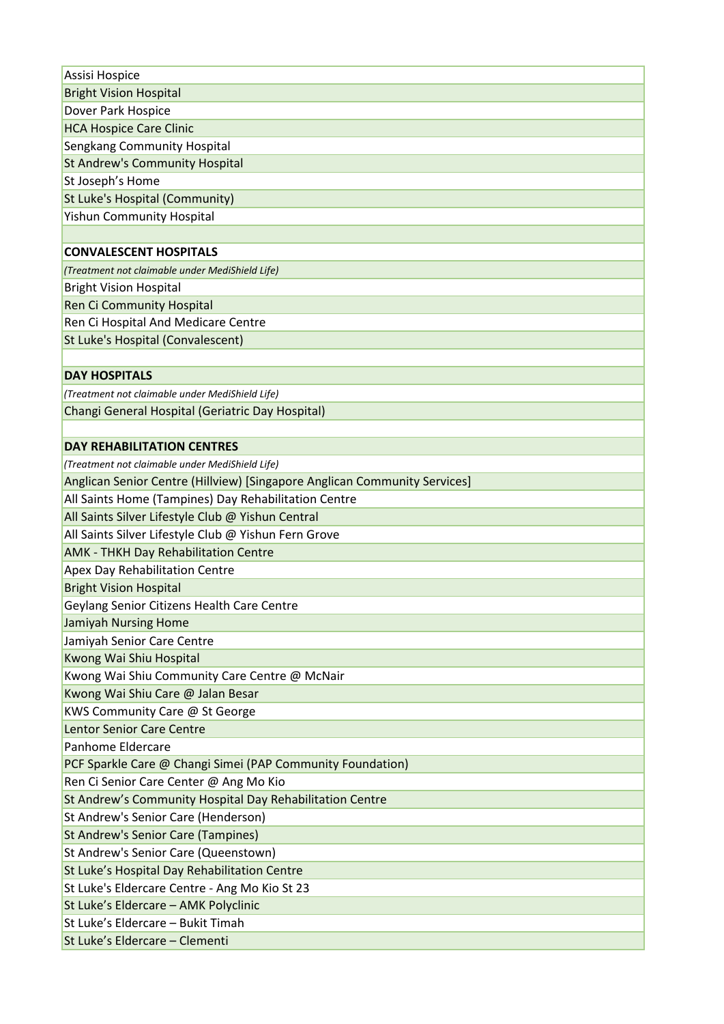| Assisi Hospice                                                            |
|---------------------------------------------------------------------------|
| <b>Bright Vision Hospital</b>                                             |
| Dover Park Hospice                                                        |
| <b>HCA Hospice Care Clinic</b>                                            |
| Sengkang Community Hospital                                               |
| <b>St Andrew's Community Hospital</b>                                     |
| St Joseph's Home                                                          |
| St Luke's Hospital (Community)                                            |
| <b>Yishun Community Hospital</b>                                          |
|                                                                           |
| <b>CONVALESCENT HOSPITALS</b>                                             |
| (Treatment not claimable under MediShield Life)                           |
| <b>Bright Vision Hospital</b>                                             |
| <b>Ren Ci Community Hospital</b>                                          |
| Ren Ci Hospital And Medicare Centre                                       |
| St Luke's Hospital (Convalescent)                                         |
|                                                                           |
| <b>DAY HOSPITALS</b>                                                      |
| (Treatment not claimable under MediShield Life)                           |
| Changi General Hospital (Geriatric Day Hospital)                          |
|                                                                           |
| <b>DAY REHABILITATION CENTRES</b>                                         |
| (Treatment not claimable under MediShield Life)                           |
| Anglican Senior Centre (Hillview) [Singapore Anglican Community Services] |
| All Saints Home (Tampines) Day Rehabilitation Centre                      |
| All Saints Silver Lifestyle Club @ Yishun Central                         |
| All Saints Silver Lifestyle Club @ Yishun Fern Grove                      |
| <b>AMK - THKH Day Rehabilitation Centre</b>                               |
| Apex Day Rehabilitation Centre                                            |
| <b>Bright Vision Hospital</b>                                             |
| Geylang Senior Citizens Health Care Centre                                |
| <b>Jamiyah Nursing Home</b>                                               |
| Jamiyah Senior Care Centre                                                |
| Kwong Wai Shiu Hospital                                                   |
| Kwong Wai Shiu Community Care Centre @ McNair                             |
| Kwong Wai Shiu Care @ Jalan Besar                                         |
| KWS Community Care @ St George                                            |
| <b>Lentor Senior Care Centre</b>                                          |
| Panhome Eldercare                                                         |
| PCF Sparkle Care @ Changi Simei (PAP Community Foundation)                |
| Ren Ci Senior Care Center @ Ang Mo Kio                                    |
| St Andrew's Community Hospital Day Rehabilitation Centre                  |
| St Andrew's Senior Care (Henderson)                                       |
| <b>St Andrew's Senior Care (Tampines)</b>                                 |
| St Andrew's Senior Care (Queenstown)                                      |
| St Luke's Hospital Day Rehabilitation Centre                              |
| St Luke's Eldercare Centre - Ang Mo Kio St 23                             |
| St Luke's Eldercare - AMK Polyclinic                                      |
| St Luke's Eldercare - Bukit Timah                                         |
| St Luke's Eldercare - Clementi                                            |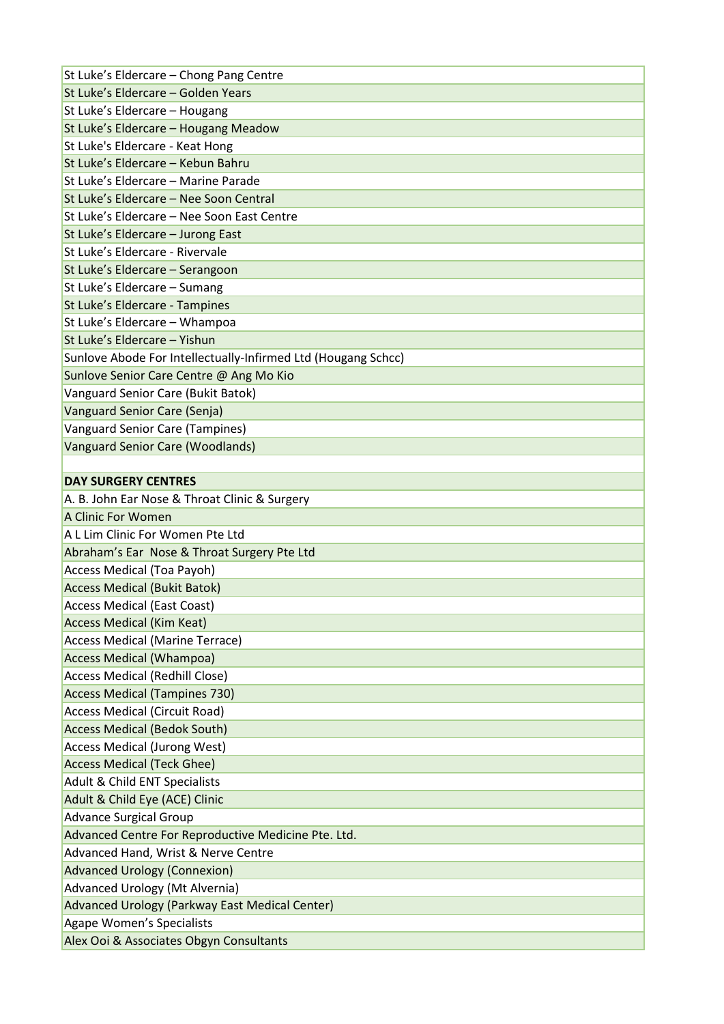| St Luke's Eldercare - Chong Pang Centre                       |
|---------------------------------------------------------------|
| St Luke's Eldercare - Golden Years                            |
| St Luke's Eldercare - Hougang                                 |
| St Luke's Eldercare - Hougang Meadow                          |
| St Luke's Eldercare - Keat Hong                               |
| St Luke's Eldercare - Kebun Bahru                             |
| St Luke's Eldercare - Marine Parade                           |
| St Luke's Eldercare - Nee Soon Central                        |
| St Luke's Eldercare - Nee Soon East Centre                    |
| St Luke's Eldercare - Jurong East                             |
| St Luke's Eldercare - Rivervale                               |
| St Luke's Eldercare - Serangoon                               |
| St Luke's Eldercare - Sumang                                  |
| St Luke's Eldercare - Tampines                                |
| St Luke's Eldercare - Whampoa                                 |
| St Luke's Eldercare - Yishun                                  |
| Sunlove Abode For Intellectually-Infirmed Ltd (Hougang Schcc) |
| Sunlove Senior Care Centre @ Ang Mo Kio                       |
| Vanguard Senior Care (Bukit Batok)                            |
| Vanguard Senior Care (Senja)                                  |
| <b>Vanguard Senior Care (Tampines)</b>                        |
| <b>Vanguard Senior Care (Woodlands)</b>                       |
|                                                               |
| <b>DAY SURGERY CENTRES</b>                                    |
| A. B. John Ear Nose & Throat Clinic & Surgery                 |
| A Clinic For Women                                            |
| A L Lim Clinic For Women Pte Ltd                              |
| Abraham's Ear Nose & Throat Surgery Pte Ltd                   |
| <b>Access Medical (Toa Payoh)</b>                             |
| <b>Access Medical (Bukit Batok)</b>                           |
| <b>Access Medical (East Coast)</b>                            |
| <b>Access Medical (Kim Keat)</b>                              |
| <b>Access Medical (Marine Terrace)</b>                        |
| <b>Access Medical (Whampoa)</b>                               |
|                                                               |
| Access Medical (Redhill Close)                                |
| <b>Access Medical (Tampines 730)</b>                          |
| <b>Access Medical (Circuit Road)</b>                          |
| <b>Access Medical (Bedok South)</b>                           |
| <b>Access Medical (Jurong West)</b>                           |
| <b>Access Medical (Teck Ghee)</b>                             |
| Adult & Child ENT Specialists                                 |
| Adult & Child Eye (ACE) Clinic                                |
| <b>Advance Surgical Group</b>                                 |
| Advanced Centre For Reproductive Medicine Pte. Ltd.           |
| Advanced Hand, Wrist & Nerve Centre                           |
| <b>Advanced Urology (Connexion)</b>                           |
| <b>Advanced Urology (Mt Alvernia)</b>                         |
| Advanced Urology (Parkway East Medical Center)                |
| <b>Agape Women's Specialists</b>                              |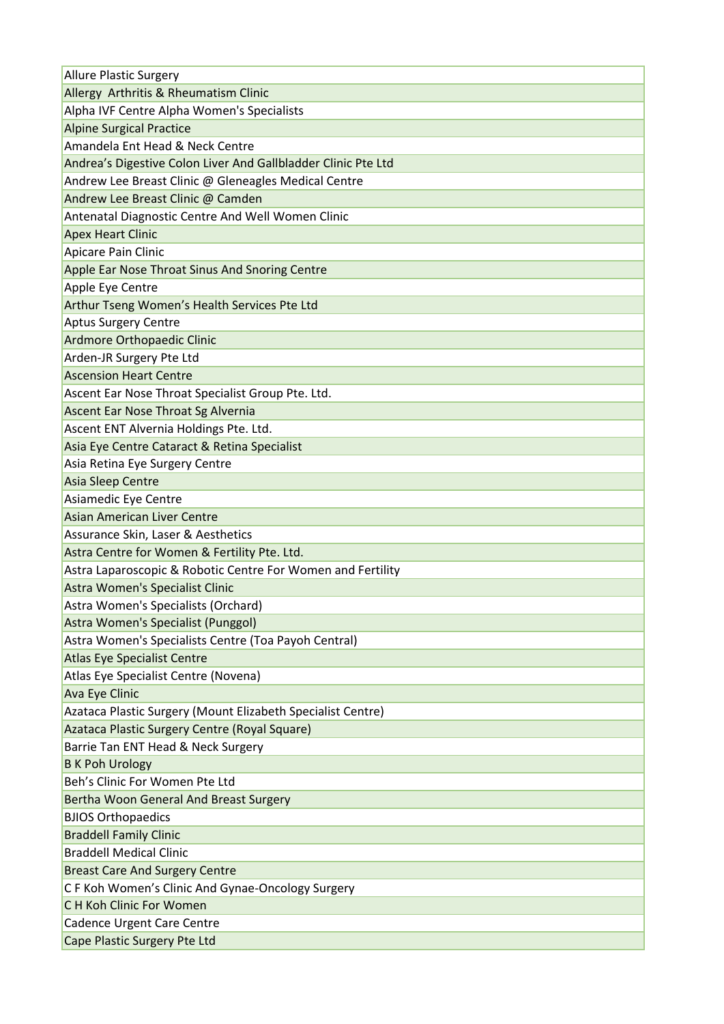| Allergy Arthritis & Rheumatism Clinic<br>Alpha IVF Centre Alpha Women's Specialists<br><b>Alpine Surgical Practice</b><br>Amandela Ent Head & Neck Centre<br>Andrea's Digestive Colon Liver And Gallbladder Clinic Pte Ltd<br>Andrew Lee Breast Clinic @ Gleneagles Medical Centre<br>Andrew Lee Breast Clinic @ Camden<br>Antenatal Diagnostic Centre And Well Women Clinic<br><b>Apex Heart Clinic</b><br>Apicare Pain Clinic<br>Apple Ear Nose Throat Sinus And Snoring Centre<br>Apple Eye Centre<br>Arthur Tseng Women's Health Services Pte Ltd<br><b>Aptus Surgery Centre</b><br>Ardmore Orthopaedic Clinic<br>Arden-JR Surgery Pte Ltd<br><b>Ascension Heart Centre</b><br>Ascent Ear Nose Throat Specialist Group Pte. Ltd.<br>Ascent Ear Nose Throat Sg Alvernia<br>Ascent ENT Alvernia Holdings Pte. Ltd.<br>Asia Eye Centre Cataract & Retina Specialist<br>Asia Retina Eye Surgery Centre<br>Asia Sleep Centre<br>Asiamedic Eye Centre<br>Asian American Liver Centre<br>Assurance Skin, Laser & Aesthetics<br>Astra Centre for Women & Fertility Pte. Ltd.<br>Astra Laparoscopic & Robotic Centre For Women and Fertility<br>Astra Women's Specialist Clinic<br>Astra Women's Specialists (Orchard) |
|-------------------------------------------------------------------------------------------------------------------------------------------------------------------------------------------------------------------------------------------------------------------------------------------------------------------------------------------------------------------------------------------------------------------------------------------------------------------------------------------------------------------------------------------------------------------------------------------------------------------------------------------------------------------------------------------------------------------------------------------------------------------------------------------------------------------------------------------------------------------------------------------------------------------------------------------------------------------------------------------------------------------------------------------------------------------------------------------------------------------------------------------------------------------------------------------------------------------|
|                                                                                                                                                                                                                                                                                                                                                                                                                                                                                                                                                                                                                                                                                                                                                                                                                                                                                                                                                                                                                                                                                                                                                                                                                   |
|                                                                                                                                                                                                                                                                                                                                                                                                                                                                                                                                                                                                                                                                                                                                                                                                                                                                                                                                                                                                                                                                                                                                                                                                                   |
|                                                                                                                                                                                                                                                                                                                                                                                                                                                                                                                                                                                                                                                                                                                                                                                                                                                                                                                                                                                                                                                                                                                                                                                                                   |
|                                                                                                                                                                                                                                                                                                                                                                                                                                                                                                                                                                                                                                                                                                                                                                                                                                                                                                                                                                                                                                                                                                                                                                                                                   |
|                                                                                                                                                                                                                                                                                                                                                                                                                                                                                                                                                                                                                                                                                                                                                                                                                                                                                                                                                                                                                                                                                                                                                                                                                   |
|                                                                                                                                                                                                                                                                                                                                                                                                                                                                                                                                                                                                                                                                                                                                                                                                                                                                                                                                                                                                                                                                                                                                                                                                                   |
|                                                                                                                                                                                                                                                                                                                                                                                                                                                                                                                                                                                                                                                                                                                                                                                                                                                                                                                                                                                                                                                                                                                                                                                                                   |
|                                                                                                                                                                                                                                                                                                                                                                                                                                                                                                                                                                                                                                                                                                                                                                                                                                                                                                                                                                                                                                                                                                                                                                                                                   |
|                                                                                                                                                                                                                                                                                                                                                                                                                                                                                                                                                                                                                                                                                                                                                                                                                                                                                                                                                                                                                                                                                                                                                                                                                   |
|                                                                                                                                                                                                                                                                                                                                                                                                                                                                                                                                                                                                                                                                                                                                                                                                                                                                                                                                                                                                                                                                                                                                                                                                                   |
|                                                                                                                                                                                                                                                                                                                                                                                                                                                                                                                                                                                                                                                                                                                                                                                                                                                                                                                                                                                                                                                                                                                                                                                                                   |
|                                                                                                                                                                                                                                                                                                                                                                                                                                                                                                                                                                                                                                                                                                                                                                                                                                                                                                                                                                                                                                                                                                                                                                                                                   |
|                                                                                                                                                                                                                                                                                                                                                                                                                                                                                                                                                                                                                                                                                                                                                                                                                                                                                                                                                                                                                                                                                                                                                                                                                   |
|                                                                                                                                                                                                                                                                                                                                                                                                                                                                                                                                                                                                                                                                                                                                                                                                                                                                                                                                                                                                                                                                                                                                                                                                                   |
|                                                                                                                                                                                                                                                                                                                                                                                                                                                                                                                                                                                                                                                                                                                                                                                                                                                                                                                                                                                                                                                                                                                                                                                                                   |
|                                                                                                                                                                                                                                                                                                                                                                                                                                                                                                                                                                                                                                                                                                                                                                                                                                                                                                                                                                                                                                                                                                                                                                                                                   |
|                                                                                                                                                                                                                                                                                                                                                                                                                                                                                                                                                                                                                                                                                                                                                                                                                                                                                                                                                                                                                                                                                                                                                                                                                   |
|                                                                                                                                                                                                                                                                                                                                                                                                                                                                                                                                                                                                                                                                                                                                                                                                                                                                                                                                                                                                                                                                                                                                                                                                                   |
|                                                                                                                                                                                                                                                                                                                                                                                                                                                                                                                                                                                                                                                                                                                                                                                                                                                                                                                                                                                                                                                                                                                                                                                                                   |
|                                                                                                                                                                                                                                                                                                                                                                                                                                                                                                                                                                                                                                                                                                                                                                                                                                                                                                                                                                                                                                                                                                                                                                                                                   |
|                                                                                                                                                                                                                                                                                                                                                                                                                                                                                                                                                                                                                                                                                                                                                                                                                                                                                                                                                                                                                                                                                                                                                                                                                   |
|                                                                                                                                                                                                                                                                                                                                                                                                                                                                                                                                                                                                                                                                                                                                                                                                                                                                                                                                                                                                                                                                                                                                                                                                                   |
|                                                                                                                                                                                                                                                                                                                                                                                                                                                                                                                                                                                                                                                                                                                                                                                                                                                                                                                                                                                                                                                                                                                                                                                                                   |
|                                                                                                                                                                                                                                                                                                                                                                                                                                                                                                                                                                                                                                                                                                                                                                                                                                                                                                                                                                                                                                                                                                                                                                                                                   |
|                                                                                                                                                                                                                                                                                                                                                                                                                                                                                                                                                                                                                                                                                                                                                                                                                                                                                                                                                                                                                                                                                                                                                                                                                   |
|                                                                                                                                                                                                                                                                                                                                                                                                                                                                                                                                                                                                                                                                                                                                                                                                                                                                                                                                                                                                                                                                                                                                                                                                                   |
|                                                                                                                                                                                                                                                                                                                                                                                                                                                                                                                                                                                                                                                                                                                                                                                                                                                                                                                                                                                                                                                                                                                                                                                                                   |
|                                                                                                                                                                                                                                                                                                                                                                                                                                                                                                                                                                                                                                                                                                                                                                                                                                                                                                                                                                                                                                                                                                                                                                                                                   |
|                                                                                                                                                                                                                                                                                                                                                                                                                                                                                                                                                                                                                                                                                                                                                                                                                                                                                                                                                                                                                                                                                                                                                                                                                   |
|                                                                                                                                                                                                                                                                                                                                                                                                                                                                                                                                                                                                                                                                                                                                                                                                                                                                                                                                                                                                                                                                                                                                                                                                                   |
| Astra Women's Specialist (Punggol)                                                                                                                                                                                                                                                                                                                                                                                                                                                                                                                                                                                                                                                                                                                                                                                                                                                                                                                                                                                                                                                                                                                                                                                |
| Astra Women's Specialists Centre (Toa Payoh Central)                                                                                                                                                                                                                                                                                                                                                                                                                                                                                                                                                                                                                                                                                                                                                                                                                                                                                                                                                                                                                                                                                                                                                              |
| <b>Atlas Eye Specialist Centre</b>                                                                                                                                                                                                                                                                                                                                                                                                                                                                                                                                                                                                                                                                                                                                                                                                                                                                                                                                                                                                                                                                                                                                                                                |
| Atlas Eye Specialist Centre (Novena)                                                                                                                                                                                                                                                                                                                                                                                                                                                                                                                                                                                                                                                                                                                                                                                                                                                                                                                                                                                                                                                                                                                                                                              |
| Ava Eye Clinic                                                                                                                                                                                                                                                                                                                                                                                                                                                                                                                                                                                                                                                                                                                                                                                                                                                                                                                                                                                                                                                                                                                                                                                                    |
| Azataca Plastic Surgery (Mount Elizabeth Specialist Centre)                                                                                                                                                                                                                                                                                                                                                                                                                                                                                                                                                                                                                                                                                                                                                                                                                                                                                                                                                                                                                                                                                                                                                       |
| Azataca Plastic Surgery Centre (Royal Square)                                                                                                                                                                                                                                                                                                                                                                                                                                                                                                                                                                                                                                                                                                                                                                                                                                                                                                                                                                                                                                                                                                                                                                     |
| Barrie Tan ENT Head & Neck Surgery                                                                                                                                                                                                                                                                                                                                                                                                                                                                                                                                                                                                                                                                                                                                                                                                                                                                                                                                                                                                                                                                                                                                                                                |
| <b>B K Poh Urology</b>                                                                                                                                                                                                                                                                                                                                                                                                                                                                                                                                                                                                                                                                                                                                                                                                                                                                                                                                                                                                                                                                                                                                                                                            |
| Beh's Clinic For Women Pte Ltd                                                                                                                                                                                                                                                                                                                                                                                                                                                                                                                                                                                                                                                                                                                                                                                                                                                                                                                                                                                                                                                                                                                                                                                    |
| Bertha Woon General And Breast Surgery                                                                                                                                                                                                                                                                                                                                                                                                                                                                                                                                                                                                                                                                                                                                                                                                                                                                                                                                                                                                                                                                                                                                                                            |
| <b>BJIOS Orthopaedics</b>                                                                                                                                                                                                                                                                                                                                                                                                                                                                                                                                                                                                                                                                                                                                                                                                                                                                                                                                                                                                                                                                                                                                                                                         |
| <b>Braddell Family Clinic</b>                                                                                                                                                                                                                                                                                                                                                                                                                                                                                                                                                                                                                                                                                                                                                                                                                                                                                                                                                                                                                                                                                                                                                                                     |
| <b>Braddell Medical Clinic</b>                                                                                                                                                                                                                                                                                                                                                                                                                                                                                                                                                                                                                                                                                                                                                                                                                                                                                                                                                                                                                                                                                                                                                                                    |
| <b>Breast Care And Surgery Centre</b>                                                                                                                                                                                                                                                                                                                                                                                                                                                                                                                                                                                                                                                                                                                                                                                                                                                                                                                                                                                                                                                                                                                                                                             |
| C F Koh Women's Clinic And Gynae-Oncology Surgery                                                                                                                                                                                                                                                                                                                                                                                                                                                                                                                                                                                                                                                                                                                                                                                                                                                                                                                                                                                                                                                                                                                                                                 |
| C H Koh Clinic For Women                                                                                                                                                                                                                                                                                                                                                                                                                                                                                                                                                                                                                                                                                                                                                                                                                                                                                                                                                                                                                                                                                                                                                                                          |
|                                                                                                                                                                                                                                                                                                                                                                                                                                                                                                                                                                                                                                                                                                                                                                                                                                                                                                                                                                                                                                                                                                                                                                                                                   |
| Cadence Urgent Care Centre                                                                                                                                                                                                                                                                                                                                                                                                                                                                                                                                                                                                                                                                                                                                                                                                                                                                                                                                                                                                                                                                                                                                                                                        |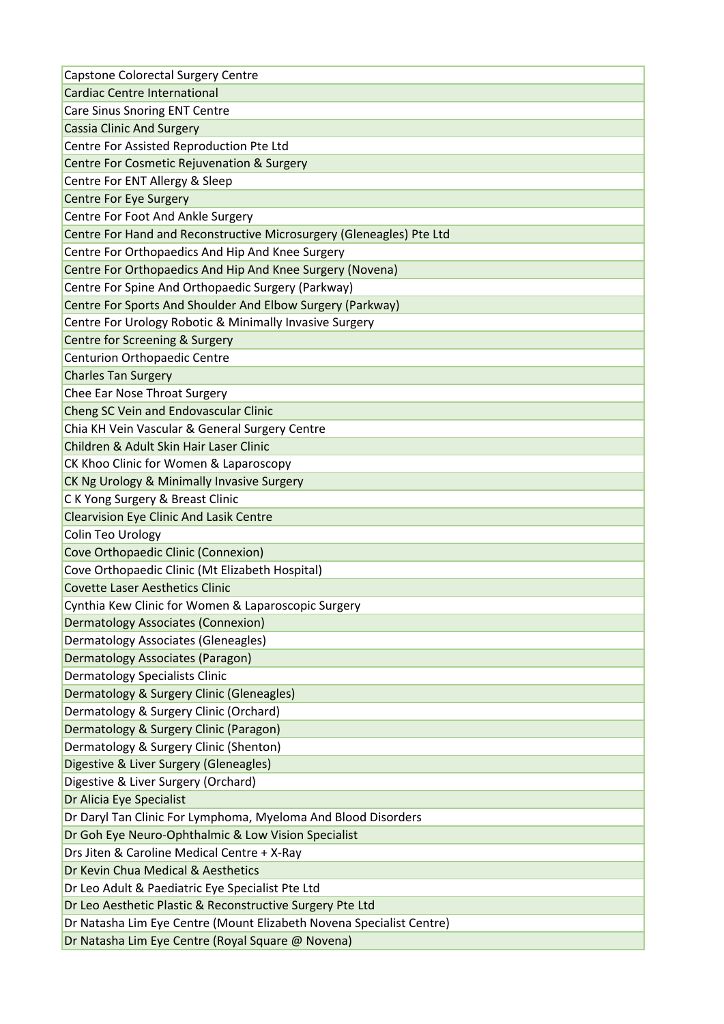| Capstone Colorectal Surgery Centre                                                                                        |
|---------------------------------------------------------------------------------------------------------------------------|
| <b>Cardiac Centre International</b>                                                                                       |
| Care Sinus Snoring ENT Centre                                                                                             |
| <b>Cassia Clinic And Surgery</b>                                                                                          |
| Centre For Assisted Reproduction Pte Ltd                                                                                  |
| Centre For Cosmetic Rejuvenation & Surgery                                                                                |
| Centre For ENT Allergy & Sleep                                                                                            |
| <b>Centre For Eye Surgery</b>                                                                                             |
| Centre For Foot And Ankle Surgery                                                                                         |
| Centre For Hand and Reconstructive Microsurgery (Gleneagles) Pte Ltd                                                      |
| Centre For Orthopaedics And Hip And Knee Surgery                                                                          |
| Centre For Orthopaedics And Hip And Knee Surgery (Novena)                                                                 |
| Centre For Spine And Orthopaedic Surgery (Parkway)                                                                        |
| Centre For Sports And Shoulder And Elbow Surgery (Parkway)                                                                |
| Centre For Urology Robotic & Minimally Invasive Surgery                                                                   |
| Centre for Screening & Surgery                                                                                            |
| Centurion Orthopaedic Centre                                                                                              |
| <b>Charles Tan Surgery</b>                                                                                                |
| Chee Ear Nose Throat Surgery                                                                                              |
| Cheng SC Vein and Endovascular Clinic                                                                                     |
| Chia KH Vein Vascular & General Surgery Centre                                                                            |
| Children & Adult Skin Hair Laser Clinic                                                                                   |
| CK Khoo Clinic for Women & Laparoscopy                                                                                    |
| CK Ng Urology & Minimally Invasive Surgery                                                                                |
| C K Yong Surgery & Breast Clinic                                                                                          |
| <b>Clearvision Eye Clinic And Lasik Centre</b>                                                                            |
|                                                                                                                           |
| Colin Teo Urology                                                                                                         |
| Cove Orthopaedic Clinic (Connexion)                                                                                       |
| Cove Orthopaedic Clinic (Mt Elizabeth Hospital)                                                                           |
| <b>Covette Laser Aesthetics Clinic</b>                                                                                    |
| Cynthia Kew Clinic for Women & Laparoscopic Surgery                                                                       |
| Dermatology Associates (Connexion)                                                                                        |
| Dermatology Associates (Gleneagles)                                                                                       |
| <b>Dermatology Associates (Paragon)</b>                                                                                   |
| Dermatology Specialists Clinic                                                                                            |
| Dermatology & Surgery Clinic (Gleneagles)                                                                                 |
| Dermatology & Surgery Clinic (Orchard)                                                                                    |
| Dermatology & Surgery Clinic (Paragon)                                                                                    |
| Dermatology & Surgery Clinic (Shenton)                                                                                    |
| Digestive & Liver Surgery (Gleneagles)                                                                                    |
| Digestive & Liver Surgery (Orchard)                                                                                       |
| Dr Alicia Eye Specialist                                                                                                  |
| Dr Daryl Tan Clinic For Lymphoma, Myeloma And Blood Disorders                                                             |
| Dr Goh Eye Neuro-Ophthalmic & Low Vision Specialist                                                                       |
| Drs Jiten & Caroline Medical Centre + X-Ray                                                                               |
| Dr Kevin Chua Medical & Aesthetics                                                                                        |
| Dr Leo Adult & Paediatric Eye Specialist Pte Ltd                                                                          |
| Dr Leo Aesthetic Plastic & Reconstructive Surgery Pte Ltd                                                                 |
| Dr Natasha Lim Eye Centre (Mount Elizabeth Novena Specialist Centre)<br>Dr Natasha Lim Eye Centre (Royal Square @ Novena) |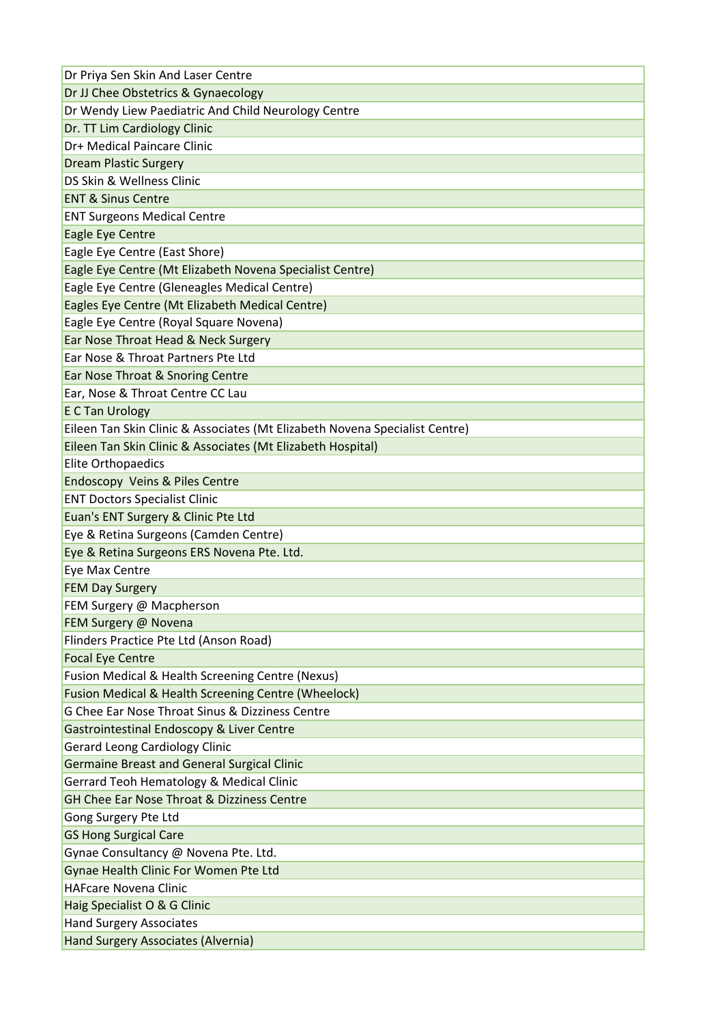| Dr Priya Sen Skin And Laser Centre                                          |
|-----------------------------------------------------------------------------|
| Dr JJ Chee Obstetrics & Gynaecology                                         |
| Dr Wendy Liew Paediatric And Child Neurology Centre                         |
| Dr. TT Lim Cardiology Clinic                                                |
| Dr+ Medical Paincare Clinic                                                 |
| <b>Dream Plastic Surgery</b>                                                |
| DS Skin & Wellness Clinic                                                   |
| <b>ENT &amp; Sinus Centre</b>                                               |
| <b>ENT Surgeons Medical Centre</b>                                          |
| Eagle Eye Centre                                                            |
| Eagle Eye Centre (East Shore)                                               |
| Eagle Eye Centre (Mt Elizabeth Novena Specialist Centre)                    |
| Eagle Eye Centre (Gleneagles Medical Centre)                                |
| Eagles Eye Centre (Mt Elizabeth Medical Centre)                             |
| Eagle Eye Centre (Royal Square Novena)                                      |
| Ear Nose Throat Head & Neck Surgery                                         |
| Ear Nose & Throat Partners Pte Ltd                                          |
| Ear Nose Throat & Snoring Centre                                            |
| Ear, Nose & Throat Centre CC Lau                                            |
| <b>E C Tan Urology</b>                                                      |
| Eileen Tan Skin Clinic & Associates (Mt Elizabeth Novena Specialist Centre) |
| Eileen Tan Skin Clinic & Associates (Mt Elizabeth Hospital)                 |
| <b>Elite Orthopaedics</b>                                                   |
| <b>Endoscopy Veins &amp; Piles Centre</b>                                   |
| <b>ENT Doctors Specialist Clinic</b>                                        |
| Euan's ENT Surgery & Clinic Pte Ltd                                         |
| Eye & Retina Surgeons (Camden Centre)                                       |
| Eye & Retina Surgeons ERS Novena Pte. Ltd.                                  |
| Eye Max Centre                                                              |
| <b>FEM Day Surgery</b>                                                      |
| FEM Surgery @ Macpherson                                                    |
| FEM Surgery @ Novena                                                        |
| Flinders Practice Pte Ltd (Anson Road)                                      |
| <b>Focal Eye Centre</b>                                                     |
| <b>Fusion Medical &amp; Health Screening Centre (Nexus)</b>                 |
| <b>Fusion Medical &amp; Health Screening Centre (Wheelock)</b>              |
| G Chee Ear Nose Throat Sinus & Dizziness Centre                             |
| Gastrointestinal Endoscopy & Liver Centre                                   |
| <b>Gerard Leong Cardiology Clinic</b>                                       |
| <b>Germaine Breast and General Surgical Clinic</b>                          |
| Gerrard Teoh Hematology & Medical Clinic                                    |
| <b>GH Chee Ear Nose Throat &amp; Dizziness Centre</b>                       |
| Gong Surgery Pte Ltd                                                        |
| <b>GS Hong Surgical Care</b>                                                |
| Gynae Consultancy @ Novena Pte. Ltd.                                        |
| Gynae Health Clinic For Women Pte Ltd                                       |
| <b>HAFcare Novena Clinic</b>                                                |
| Haig Specialist O & G Clinic                                                |
| <b>Hand Surgery Associates</b>                                              |
| Hand Surgery Associates (Alvernia)                                          |
|                                                                             |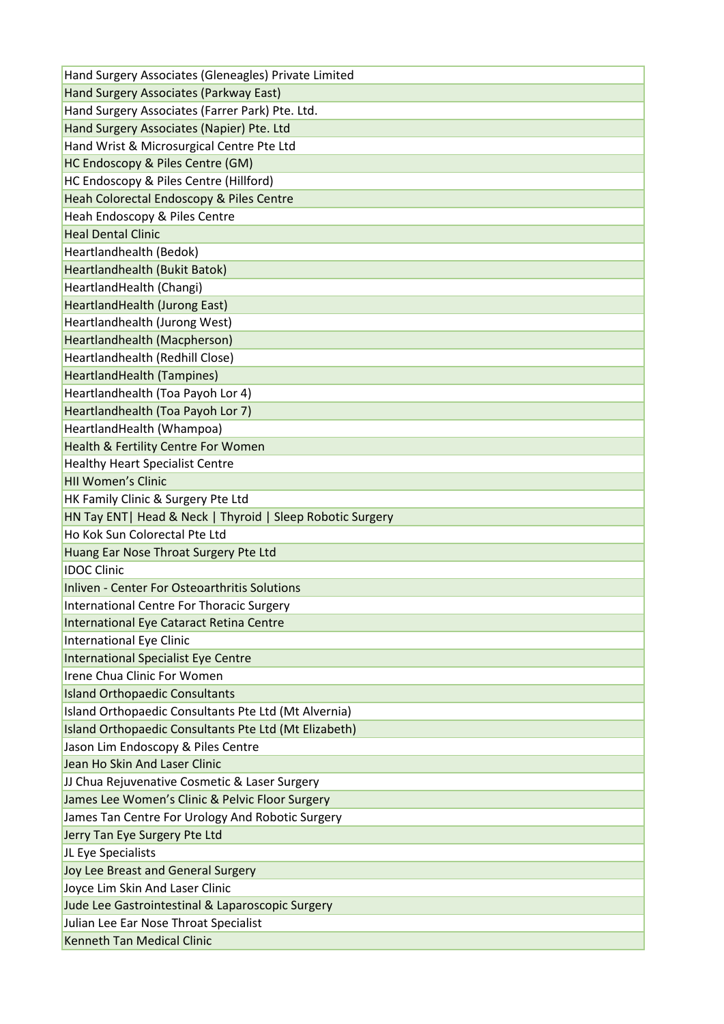| Hand Surgery Associates (Gleneagles) Private Limited       |
|------------------------------------------------------------|
| Hand Surgery Associates (Parkway East)                     |
| Hand Surgery Associates (Farrer Park) Pte. Ltd.            |
| Hand Surgery Associates (Napier) Pte. Ltd                  |
| Hand Wrist & Microsurgical Centre Pte Ltd                  |
| HC Endoscopy & Piles Centre (GM)                           |
| HC Endoscopy & Piles Centre (Hillford)                     |
| Heah Colorectal Endoscopy & Piles Centre                   |
| Heah Endoscopy & Piles Centre                              |
| <b>Heal Dental Clinic</b>                                  |
| Heartlandhealth (Bedok)                                    |
| Heartlandhealth (Bukit Batok)                              |
| HeartlandHealth (Changi)                                   |
| HeartlandHealth (Jurong East)                              |
| Heartlandhealth (Jurong West)                              |
| Heartlandhealth (Macpherson)                               |
| Heartlandhealth (Redhill Close)                            |
| HeartlandHealth (Tampines)                                 |
| Heartlandhealth (Toa Payoh Lor 4)                          |
| Heartlandhealth (Toa Payoh Lor 7)                          |
| HeartlandHealth (Whampoa)                                  |
| Health & Fertility Centre For Women                        |
| <b>Healthy Heart Specialist Centre</b>                     |
| <b>HII Women's Clinic</b>                                  |
| HK Family Clinic & Surgery Pte Ltd                         |
| HN Tay ENT   Head & Neck   Thyroid   Sleep Robotic Surgery |
| Ho Kok Sun Colorectal Pte Ltd                              |
| Huang Ear Nose Throat Surgery Pte Ltd                      |
| <b>IDOC Clinic</b>                                         |
| Inliven - Center For Osteoarthritis Solutions              |
| International Centre For Thoracic Surgery                  |
| International Eye Cataract Retina Centre                   |
| International Eye Clinic                                   |
| International Specialist Eye Centre                        |
| Irene Chua Clinic For Women                                |
| <b>Island Orthopaedic Consultants</b>                      |
| Island Orthopaedic Consultants Pte Ltd (Mt Alvernia)       |
| Island Orthopaedic Consultants Pte Ltd (Mt Elizabeth)      |
| Jason Lim Endoscopy & Piles Centre                         |
| Jean Ho Skin And Laser Clinic                              |
| JJ Chua Rejuvenative Cosmetic & Laser Surgery              |
| James Lee Women's Clinic & Pelvic Floor Surgery            |
| James Tan Centre For Urology And Robotic Surgery           |
| Jerry Tan Eye Surgery Pte Ltd                              |
| JL Eye Specialists                                         |
| Joy Lee Breast and General Surgery                         |
| Joyce Lim Skin And Laser Clinic                            |
| Jude Lee Gastrointestinal & Laparoscopic Surgery           |
| Julian Lee Ear Nose Throat Specialist                      |
|                                                            |
| <b>Kenneth Tan Medical Clinic</b>                          |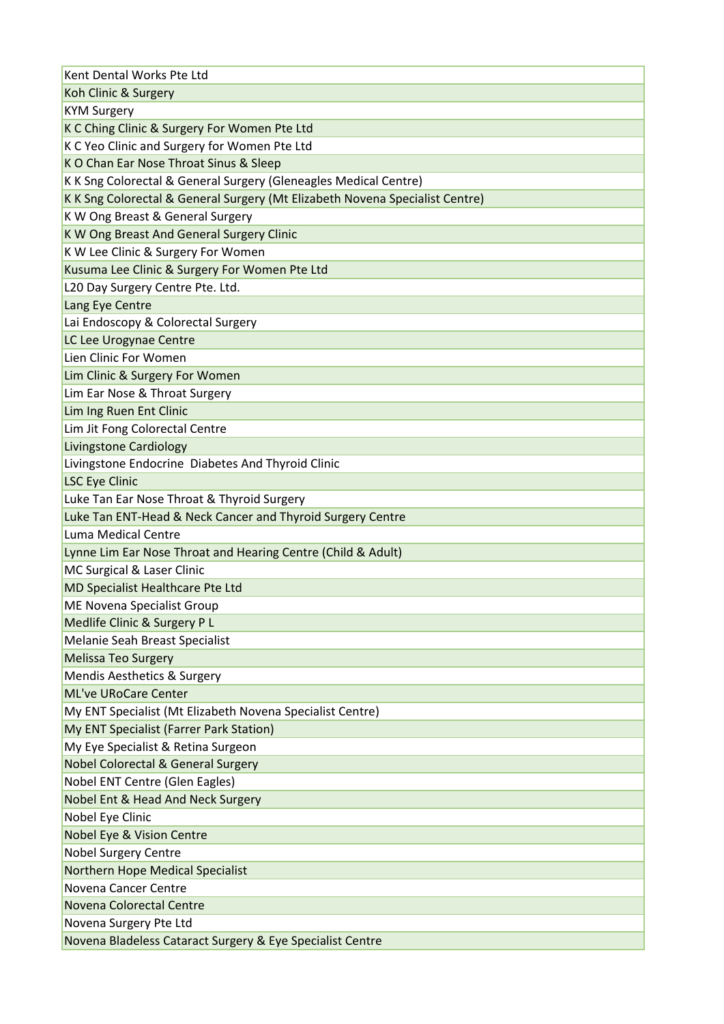| Kent Dental Works Pte Ltd                                                    |
|------------------------------------------------------------------------------|
| Koh Clinic & Surgery                                                         |
| <b>KYM Surgery</b>                                                           |
| K C Ching Clinic & Surgery For Women Pte Ltd                                 |
| K C Yeo Clinic and Surgery for Women Pte Ltd                                 |
| K O Chan Ear Nose Throat Sinus & Sleep                                       |
| K K Sng Colorectal & General Surgery (Gleneagles Medical Centre)             |
| K K Sng Colorectal & General Surgery (Mt Elizabeth Novena Specialist Centre) |
| K W Ong Breast & General Surgery                                             |
| K W Ong Breast And General Surgery Clinic                                    |
| K W Lee Clinic & Surgery For Women                                           |
| Kusuma Lee Clinic & Surgery For Women Pte Ltd                                |
| L20 Day Surgery Centre Pte. Ltd.                                             |
| Lang Eye Centre                                                              |
| Lai Endoscopy & Colorectal Surgery                                           |
| LC Lee Urogynae Centre                                                       |
| Lien Clinic For Women                                                        |
| Lim Clinic & Surgery For Women                                               |
| Lim Ear Nose & Throat Surgery                                                |
| Lim Ing Ruen Ent Clinic                                                      |
| Lim Jit Fong Colorectal Centre                                               |
| <b>Livingstone Cardiology</b>                                                |
| Livingstone Endocrine Diabetes And Thyroid Clinic                            |
| <b>LSC Eye Clinic</b>                                                        |
| Luke Tan Ear Nose Throat & Thyroid Surgery                                   |
| Luke Tan ENT-Head & Neck Cancer and Thyroid Surgery Centre                   |
| Luma Medical Centre                                                          |
| Lynne Lim Ear Nose Throat and Hearing Centre (Child & Adult)                 |
| MC Surgical & Laser Clinic                                                   |
| MD Specialist Healthcare Pte Ltd                                             |
| ME Novena Specialist Group                                                   |
| Medlife Clinic & Surgery P L                                                 |
| Melanie Seah Breast Specialist                                               |
| <b>Melissa Teo Surgery</b>                                                   |
| <b>Mendis Aesthetics &amp; Surgery</b>                                       |
| <b>ML've URoCare Center</b>                                                  |
| My ENT Specialist (Mt Elizabeth Novena Specialist Centre)                    |
| My ENT Specialist (Farrer Park Station)                                      |
| My Eye Specialist & Retina Surgeon                                           |
| <b>Nobel Colorectal &amp; General Surgery</b>                                |
| Nobel ENT Centre (Glen Eagles)                                               |
| Nobel Ent & Head And Neck Surgery                                            |
| Nobel Eye Clinic                                                             |
| Nobel Eye & Vision Centre                                                    |
| <b>Nobel Surgery Centre</b>                                                  |
| <b>Northern Hope Medical Specialist</b>                                      |
| Novena Cancer Centre                                                         |
| Novena Colorectal Centre                                                     |
| Novena Surgery Pte Ltd                                                       |
| Novena Bladeless Cataract Surgery & Eye Specialist Centre                    |
|                                                                              |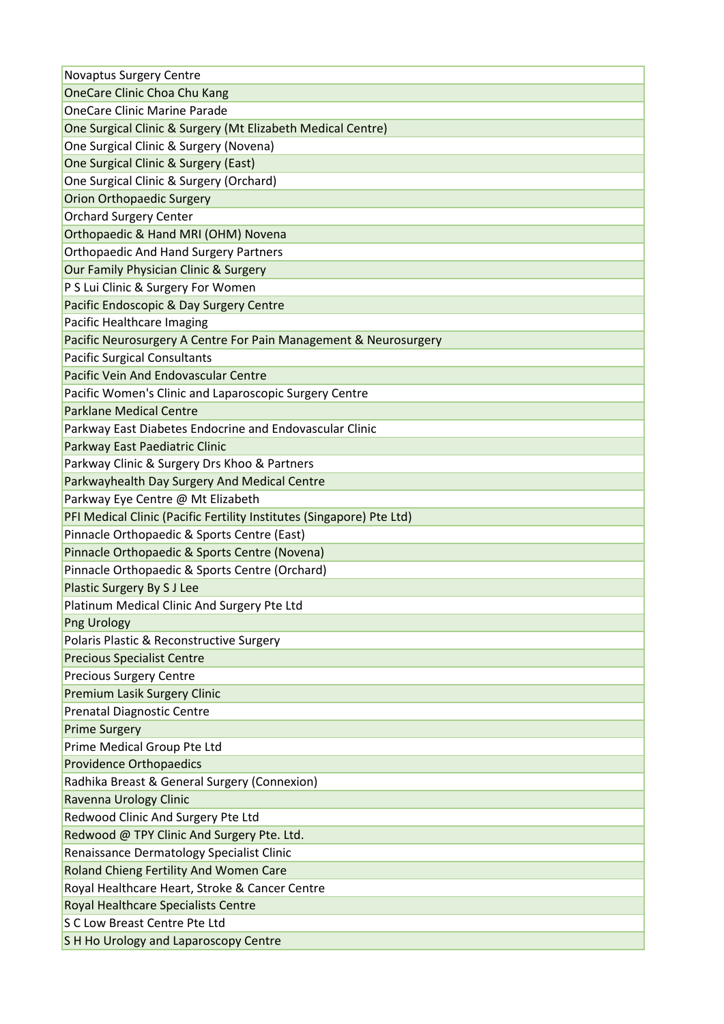| <b>Novaptus Surgery Centre</b>                                        |
|-----------------------------------------------------------------------|
| <b>OneCare Clinic Choa Chu Kang</b>                                   |
| <b>OneCare Clinic Marine Parade</b>                                   |
| One Surgical Clinic & Surgery (Mt Elizabeth Medical Centre)           |
| One Surgical Clinic & Surgery (Novena)                                |
| One Surgical Clinic & Surgery (East)                                  |
| One Surgical Clinic & Surgery (Orchard)                               |
| <b>Orion Orthopaedic Surgery</b>                                      |
| <b>Orchard Surgery Center</b>                                         |
| Orthopaedic & Hand MRI (OHM) Novena                                   |
| <b>Orthopaedic And Hand Surgery Partners</b>                          |
| Our Family Physician Clinic & Surgery                                 |
| P S Lui Clinic & Surgery For Women                                    |
| Pacific Endoscopic & Day Surgery Centre                               |
| Pacific Healthcare Imaging                                            |
| Pacific Neurosurgery A Centre For Pain Management & Neurosurgery      |
| <b>Pacific Surgical Consultants</b>                                   |
| <b>Pacific Vein And Endovascular Centre</b>                           |
| Pacific Women's Clinic and Laparoscopic Surgery Centre                |
| <b>Parklane Medical Centre</b>                                        |
| Parkway East Diabetes Endocrine and Endovascular Clinic               |
| Parkway East Paediatric Clinic                                        |
| Parkway Clinic & Surgery Drs Khoo & Partners                          |
| Parkwayhealth Day Surgery And Medical Centre                          |
| Parkway Eye Centre @ Mt Elizabeth                                     |
| PFI Medical Clinic (Pacific Fertility Institutes (Singapore) Pte Ltd) |
| Pinnacle Orthopaedic & Sports Centre (East)                           |
| Pinnacle Orthopaedic & Sports Centre (Novena)                         |
| Pinnacle Orthopaedic & Sports Centre (Orchard)                        |
| Plastic Surgery By S J Lee                                            |
| Platinum Medical Clinic And Surgery Pte Ltd                           |
| Png Urology                                                           |
| Polaris Plastic & Reconstructive Surgery                              |
| <b>Precious Specialist Centre</b>                                     |
| <b>Precious Surgery Centre</b>                                        |
| <b>Premium Lasik Surgery Clinic</b>                                   |
| <b>Prenatal Diagnostic Centre</b>                                     |
| <b>Prime Surgery</b>                                                  |
| Prime Medical Group Pte Ltd                                           |
| <b>Providence Orthopaedics</b>                                        |
| Radhika Breast & General Surgery (Connexion)                          |
| Ravenna Urology Clinic                                                |
| Redwood Clinic And Surgery Pte Ltd                                    |
| Redwood @ TPY Clinic And Surgery Pte. Ltd.                            |
| Renaissance Dermatology Specialist Clinic                             |
| Roland Chieng Fertility And Women Care                                |
| Royal Healthcare Heart, Stroke & Cancer Centre                        |
| Royal Healthcare Specialists Centre                                   |
| S C Low Breast Centre Pte Ltd                                         |
| S H Ho Urology and Laparoscopy Centre                                 |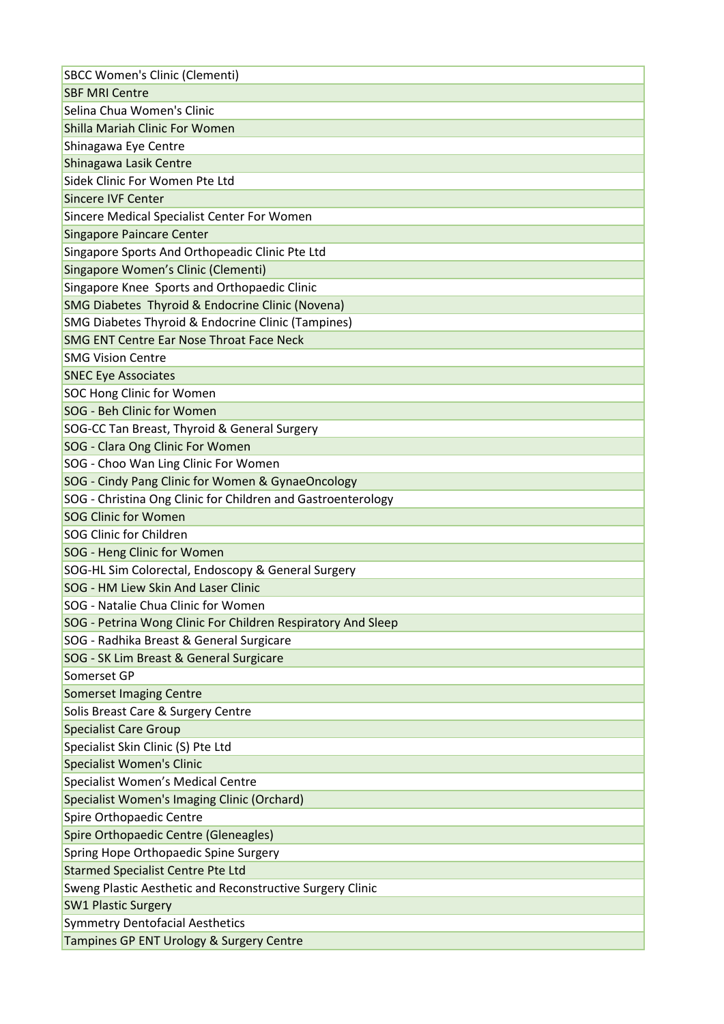| <b>SBCC Women's Clinic (Clementi)</b>                        |
|--------------------------------------------------------------|
| <b>SBF MRI Centre</b>                                        |
| Selina Chua Women's Clinic                                   |
| Shilla Mariah Clinic For Women                               |
| Shinagawa Eye Centre                                         |
| Shinagawa Lasik Centre                                       |
| Sidek Clinic For Women Pte Ltd                               |
| <b>Sincere IVF Center</b>                                    |
| Sincere Medical Specialist Center For Women                  |
| <b>Singapore Paincare Center</b>                             |
| Singapore Sports And Orthopeadic Clinic Pte Ltd              |
| Singapore Women's Clinic (Clementi)                          |
| Singapore Knee Sports and Orthopaedic Clinic                 |
| SMG Diabetes Thyroid & Endocrine Clinic (Novena)             |
| SMG Diabetes Thyroid & Endocrine Clinic (Tampines)           |
| <b>SMG ENT Centre Ear Nose Throat Face Neck</b>              |
| <b>SMG Vision Centre</b>                                     |
| <b>SNEC Eye Associates</b>                                   |
| <b>SOC Hong Clinic for Women</b>                             |
| SOG - Beh Clinic for Women                                   |
| SOG-CC Tan Breast, Thyroid & General Surgery                 |
| SOG - Clara Ong Clinic For Women                             |
| SOG - Choo Wan Ling Clinic For Women                         |
| SOG - Cindy Pang Clinic for Women & GynaeOncology            |
| SOG - Christina Ong Clinic for Children and Gastroenterology |
| <b>SOG Clinic for Women</b>                                  |
| <b>SOG Clinic for Children</b>                               |
| SOG - Heng Clinic for Women                                  |
| SOG-HL Sim Colorectal, Endoscopy & General Surgery           |
| SOG - HM Liew Skin And Laser Clinic                          |
| SOG - Natalie Chua Clinic for Women                          |
| SOG - Petrina Wong Clinic For Children Respiratory And Sleep |
| SOG - Radhika Breast & General Surgicare                     |
| SOG - SK Lim Breast & General Surgicare                      |
| Somerset GP                                                  |
| <b>Somerset Imaging Centre</b>                               |
| Solis Breast Care & Surgery Centre                           |
| <b>Specialist Care Group</b>                                 |
| Specialist Skin Clinic (S) Pte Ltd                           |
| <b>Specialist Women's Clinic</b>                             |
| Specialist Women's Medical Centre                            |
| Specialist Women's Imaging Clinic (Orchard)                  |
| Spire Orthopaedic Centre                                     |
| Spire Orthopaedic Centre (Gleneagles)                        |
| Spring Hope Orthopaedic Spine Surgery                        |
| <b>Starmed Specialist Centre Pte Ltd</b>                     |
| Sweng Plastic Aesthetic and Reconstructive Surgery Clinic    |
| <b>SW1 Plastic Surgery</b>                                   |
| <b>Symmetry Dentofacial Aesthetics</b>                       |
| Tampines GP ENT Urology & Surgery Centre                     |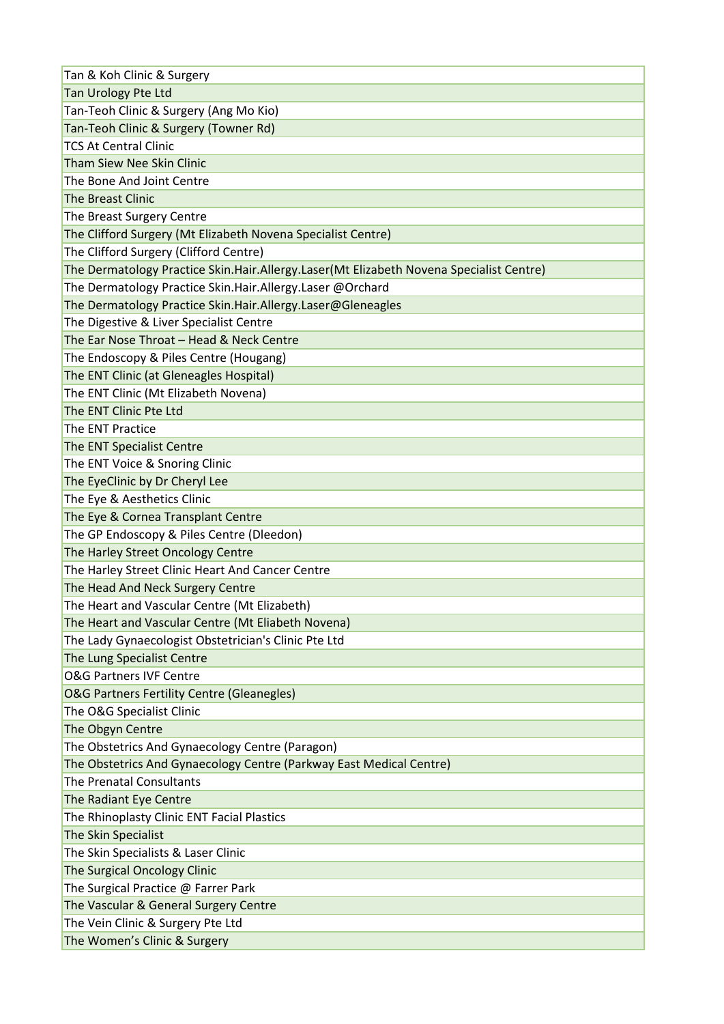| Tan & Koh Clinic & Surgery                                                              |
|-----------------------------------------------------------------------------------------|
| Tan Urology Pte Ltd                                                                     |
| Tan-Teoh Clinic & Surgery (Ang Mo Kio)                                                  |
| Tan-Teoh Clinic & Surgery (Towner Rd)                                                   |
| <b>TCS At Central Clinic</b>                                                            |
| Tham Siew Nee Skin Clinic                                                               |
| The Bone And Joint Centre                                                               |
| <b>The Breast Clinic</b>                                                                |
| The Breast Surgery Centre                                                               |
| The Clifford Surgery (Mt Elizabeth Novena Specialist Centre)                            |
| The Clifford Surgery (Clifford Centre)                                                  |
| The Dermatology Practice Skin.Hair.Allergy.Laser(Mt Elizabeth Novena Specialist Centre) |
| The Dermatology Practice Skin.Hair.Allergy.Laser @Orchard                               |
| The Dermatology Practice Skin.Hair.Allergy.Laser@Gleneagles                             |
| The Digestive & Liver Specialist Centre                                                 |
| The Ear Nose Throat - Head & Neck Centre                                                |
| The Endoscopy & Piles Centre (Hougang)                                                  |
| The ENT Clinic (at Gleneagles Hospital)                                                 |
| The ENT Clinic (Mt Elizabeth Novena)                                                    |
| The ENT Clinic Pte Ltd                                                                  |
| The ENT Practice                                                                        |
| The ENT Specialist Centre                                                               |
| The ENT Voice & Snoring Clinic                                                          |
| The EyeClinic by Dr Cheryl Lee                                                          |
| The Eye & Aesthetics Clinic                                                             |
| The Eye & Cornea Transplant Centre                                                      |
| The GP Endoscopy & Piles Centre (Dleedon)                                               |
| The Harley Street Oncology Centre                                                       |
| The Harley Street Clinic Heart And Cancer Centre                                        |
| The Head And Neck Surgery Centre                                                        |
| The Heart and Vascular Centre (Mt Elizabeth)                                            |
| The Heart and Vascular Centre (Mt Eliabeth Novena)                                      |
| The Lady Gynaecologist Obstetrician's Clinic Pte Ltd                                    |
| The Lung Specialist Centre                                                              |
| <b>O&amp;G Partners IVF Centre</b>                                                      |
| <b>O&amp;G Partners Fertility Centre (Gleanegles)</b>                                   |
| The O&G Specialist Clinic                                                               |
| The Obgyn Centre                                                                        |
| The Obstetrics And Gynaecology Centre (Paragon)                                         |
| The Obstetrics And Gynaecology Centre (Parkway East Medical Centre)                     |
| The Prenatal Consultants                                                                |
| The Radiant Eye Centre                                                                  |
| The Rhinoplasty Clinic ENT Facial Plastics                                              |
| The Skin Specialist                                                                     |
| The Skin Specialists & Laser Clinic                                                     |
| The Surgical Oncology Clinic                                                            |
| The Surgical Practice @ Farrer Park                                                     |
| The Vascular & General Surgery Centre                                                   |
| The Vein Clinic & Surgery Pte Ltd                                                       |
| The Women's Clinic & Surgery                                                            |
|                                                                                         |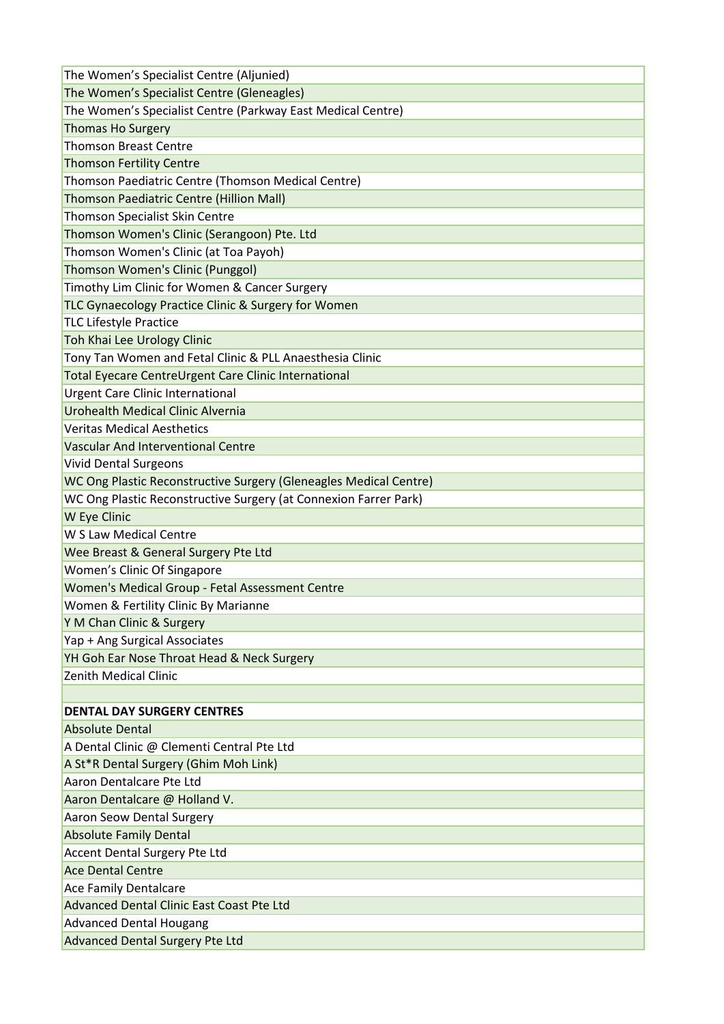| The Women's Specialist Centre (Aljunied)                          |
|-------------------------------------------------------------------|
| The Women's Specialist Centre (Gleneagles)                        |
| The Women's Specialist Centre (Parkway East Medical Centre)       |
| <b>Thomas Ho Surgery</b>                                          |
| <b>Thomson Breast Centre</b>                                      |
| <b>Thomson Fertility Centre</b>                                   |
| Thomson Paediatric Centre (Thomson Medical Centre)                |
| Thomson Paediatric Centre (Hillion Mall)                          |
| Thomson Specialist Skin Centre                                    |
| Thomson Women's Clinic (Serangoon) Pte. Ltd                       |
| Thomson Women's Clinic (at Toa Payoh)                             |
| Thomson Women's Clinic (Punggol)                                  |
| Timothy Lim Clinic for Women & Cancer Surgery                     |
| TLC Gynaecology Practice Clinic & Surgery for Women               |
| <b>TLC Lifestyle Practice</b>                                     |
| Toh Khai Lee Urology Clinic                                       |
| Tony Tan Women and Fetal Clinic & PLL Anaesthesia Clinic          |
| Total Eyecare CentreUrgent Care Clinic International              |
| <b>Urgent Care Clinic International</b>                           |
| Urohealth Medical Clinic Alvernia                                 |
| <b>Veritas Medical Aesthetics</b>                                 |
| <b>Vascular And Interventional Centre</b>                         |
| <b>Vivid Dental Surgeons</b>                                      |
| WC Ong Plastic Reconstructive Surgery (Gleneagles Medical Centre) |
| WC Ong Plastic Reconstructive Surgery (at Connexion Farrer Park)  |
| W Eye Clinic                                                      |
| W S Law Medical Centre                                            |
| Wee Breast & General Surgery Pte Ltd                              |
| Women's Clinic Of Singapore                                       |
| Women's Medical Group - Fetal Assessment Centre                   |
| Women & Fertility Clinic By Marianne                              |
| Y M Chan Clinic & Surgery                                         |
| Yap + Ang Surgical Associates                                     |
| YH Goh Ear Nose Throat Head & Neck Surgery                        |
| <b>Zenith Medical Clinic</b>                                      |
|                                                                   |
| <b>DENTAL DAY SURGERY CENTRES</b>                                 |
| <b>Absolute Dental</b>                                            |
| A Dental Clinic @ Clementi Central Pte Ltd                        |
| A St*R Dental Surgery (Ghim Moh Link)                             |
| Aaron Dentalcare Pte Ltd                                          |
| Aaron Dentalcare @ Holland V.                                     |
| Aaron Seow Dental Surgery                                         |
| <b>Absolute Family Dental</b>                                     |
| Accent Dental Surgery Pte Ltd                                     |
| <b>Ace Dental Centre</b>                                          |
| Ace Family Dentalcare                                             |
| <b>Advanced Dental Clinic East Coast Pte Ltd</b>                  |
| <b>Advanced Dental Hougang</b>                                    |
| Advanced Dental Surgery Pte Ltd                                   |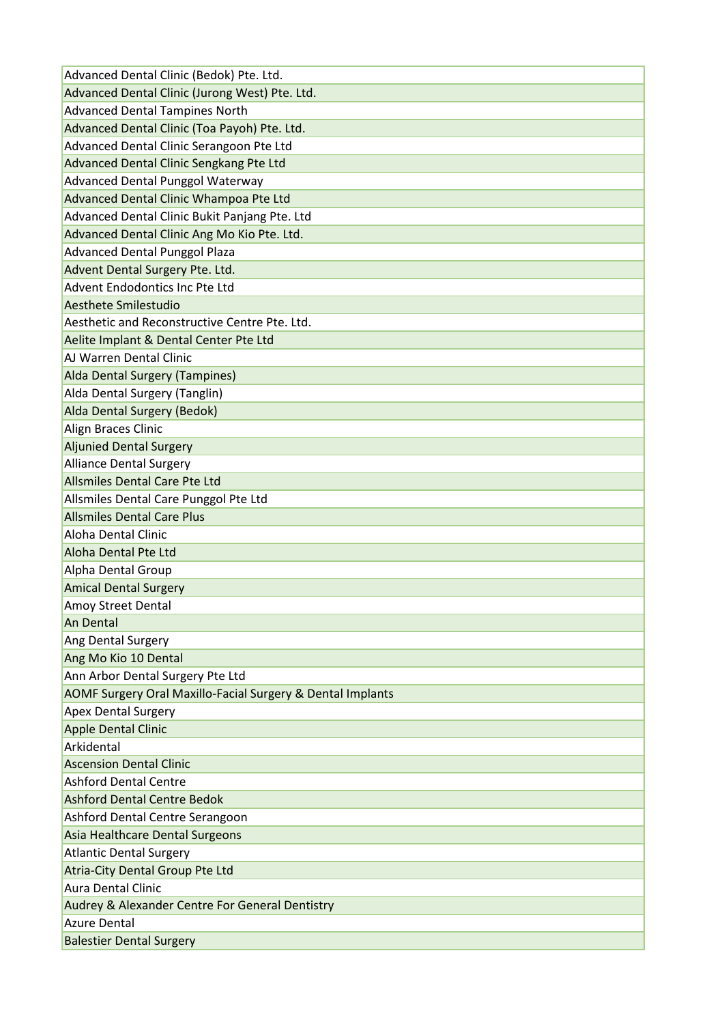| Advanced Dental Clinic (Bedok) Pte. Ltd.                   |
|------------------------------------------------------------|
| Advanced Dental Clinic (Jurong West) Pte. Ltd.             |
| <b>Advanced Dental Tampines North</b>                      |
| Advanced Dental Clinic (Toa Payoh) Pte. Ltd.               |
| Advanced Dental Clinic Serangoon Pte Ltd                   |
| Advanced Dental Clinic Sengkang Pte Ltd                    |
| Advanced Dental Punggol Waterway                           |
| Advanced Dental Clinic Whampoa Pte Ltd                     |
| Advanced Dental Clinic Bukit Panjang Pte. Ltd              |
| Advanced Dental Clinic Ang Mo Kio Pte. Ltd.                |
| <b>Advanced Dental Punggol Plaza</b>                       |
| Advent Dental Surgery Pte. Ltd.                            |
| Advent Endodontics Inc Pte Ltd                             |
| Aesthete Smilestudio                                       |
| Aesthetic and Reconstructive Centre Pte. Ltd.              |
| Aelite Implant & Dental Center Pte Ltd                     |
| AJ Warren Dental Clinic                                    |
| Alda Dental Surgery (Tampines)                             |
| Alda Dental Surgery (Tanglin)                              |
| Alda Dental Surgery (Bedok)                                |
| Align Braces Clinic                                        |
| <b>Aljunied Dental Surgery</b>                             |
| <b>Alliance Dental Surgery</b>                             |
| Allsmiles Dental Care Pte Ltd                              |
| Allsmiles Dental Care Punggol Pte Ltd                      |
| <b>Allsmiles Dental Care Plus</b>                          |
| Aloha Dental Clinic                                        |
| Aloha Dental Pte Ltd                                       |
| Alpha Dental Group                                         |
| <b>Amical Dental Surgery</b>                               |
| Amoy Street Dental                                         |
| <b>An Dental</b>                                           |
| Ang Dental Surgery                                         |
| Ang Mo Kio 10 Dental                                       |
| Ann Arbor Dental Surgery Pte Ltd                           |
| AOMF Surgery Oral Maxillo-Facial Surgery & Dental Implants |
| <b>Apex Dental Surgery</b>                                 |
| <b>Apple Dental Clinic</b>                                 |
| Arkidental                                                 |
| <b>Ascension Dental Clinic</b>                             |
| <b>Ashford Dental Centre</b>                               |
| <b>Ashford Dental Centre Bedok</b>                         |
| Ashford Dental Centre Serangoon                            |
| Asia Healthcare Dental Surgeons                            |
| <b>Atlantic Dental Surgery</b>                             |
| <b>Atria-City Dental Group Pte Ltd</b>                     |
| <b>Aura Dental Clinic</b>                                  |
| Audrey & Alexander Centre For General Dentistry            |
|                                                            |
| <b>Azure Dental</b>                                        |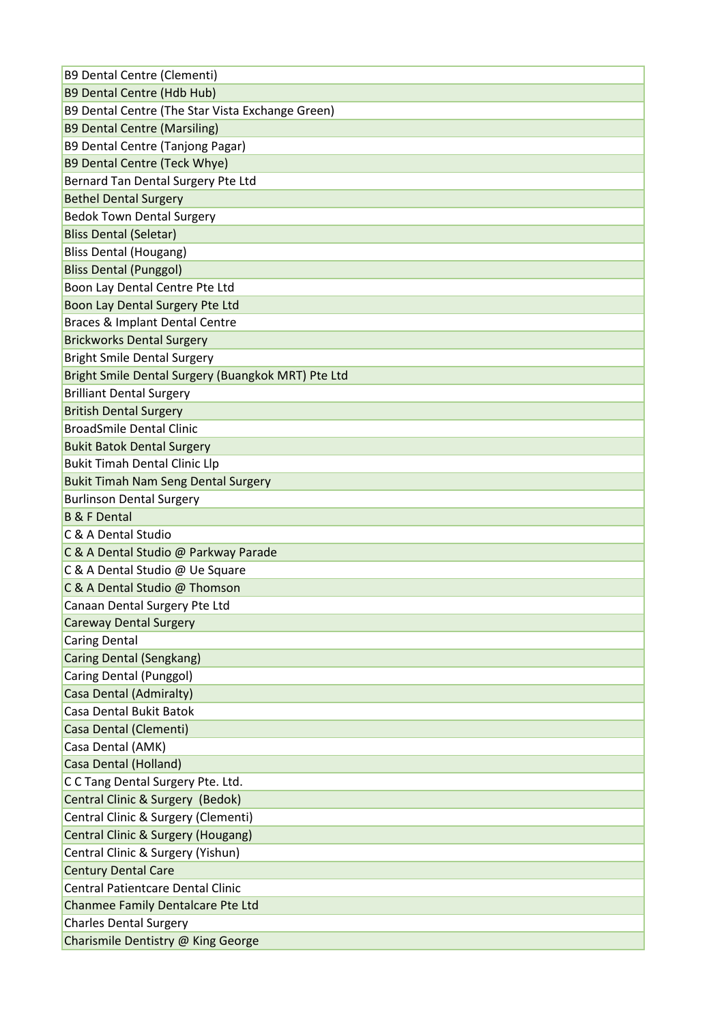| B9 Dental Centre (Clementi)                        |
|----------------------------------------------------|
| <b>B9 Dental Centre (Hdb Hub)</b>                  |
| B9 Dental Centre (The Star Vista Exchange Green)   |
| <b>B9 Dental Centre (Marsiling)</b>                |
| B9 Dental Centre (Tanjong Pagar)                   |
| B9 Dental Centre (Teck Whye)                       |
| Bernard Tan Dental Surgery Pte Ltd                 |
| <b>Bethel Dental Surgery</b>                       |
| <b>Bedok Town Dental Surgery</b>                   |
| <b>Bliss Dental (Seletar)</b>                      |
| <b>Bliss Dental (Hougang)</b>                      |
| <b>Bliss Dental (Punggol)</b>                      |
| Boon Lay Dental Centre Pte Ltd                     |
| Boon Lay Dental Surgery Pte Ltd                    |
| Braces & Implant Dental Centre                     |
| <b>Brickworks Dental Surgery</b>                   |
| <b>Bright Smile Dental Surgery</b>                 |
| Bright Smile Dental Surgery (Buangkok MRT) Pte Ltd |
| <b>Brilliant Dental Surgery</b>                    |
| <b>British Dental Surgery</b>                      |
| <b>BroadSmile Dental Clinic</b>                    |
| <b>Bukit Batok Dental Surgery</b>                  |
| <b>Bukit Timah Dental Clinic Llp</b>               |
| <b>Bukit Timah Nam Seng Dental Surgery</b>         |
| <b>Burlinson Dental Surgery</b>                    |
| <b>B &amp; F Dental</b>                            |
| C & A Dental Studio                                |
| C & A Dental Studio @ Parkway Parade               |
| C & A Dental Studio @ Ue Square                    |
| C & A Dental Studio @ Thomson                      |
| Canaan Dental Surgery Pte Ltd                      |
| <b>Careway Dental Surgery</b>                      |
| <b>Caring Dental</b>                               |
| Caring Dental (Sengkang)                           |
| Caring Dental (Punggol)                            |
| Casa Dental (Admiralty)                            |
| <b>Casa Dental Bukit Batok</b>                     |
| Casa Dental (Clementi)                             |
| Casa Dental (AMK)                                  |
| Casa Dental (Holland)                              |
| C C Tang Dental Surgery Pte. Ltd.                  |
| Central Clinic & Surgery (Bedok)                   |
| Central Clinic & Surgery (Clementi)                |
| Central Clinic & Surgery (Hougang)                 |
| Central Clinic & Surgery (Yishun)                  |
| <b>Century Dental Care</b>                         |
| <b>Central Patientcare Dental Clinic</b>           |
| Chanmee Family Dentalcare Pte Ltd                  |
| <b>Charles Dental Surgery</b>                      |
| Charismile Dentistry @ King George                 |
|                                                    |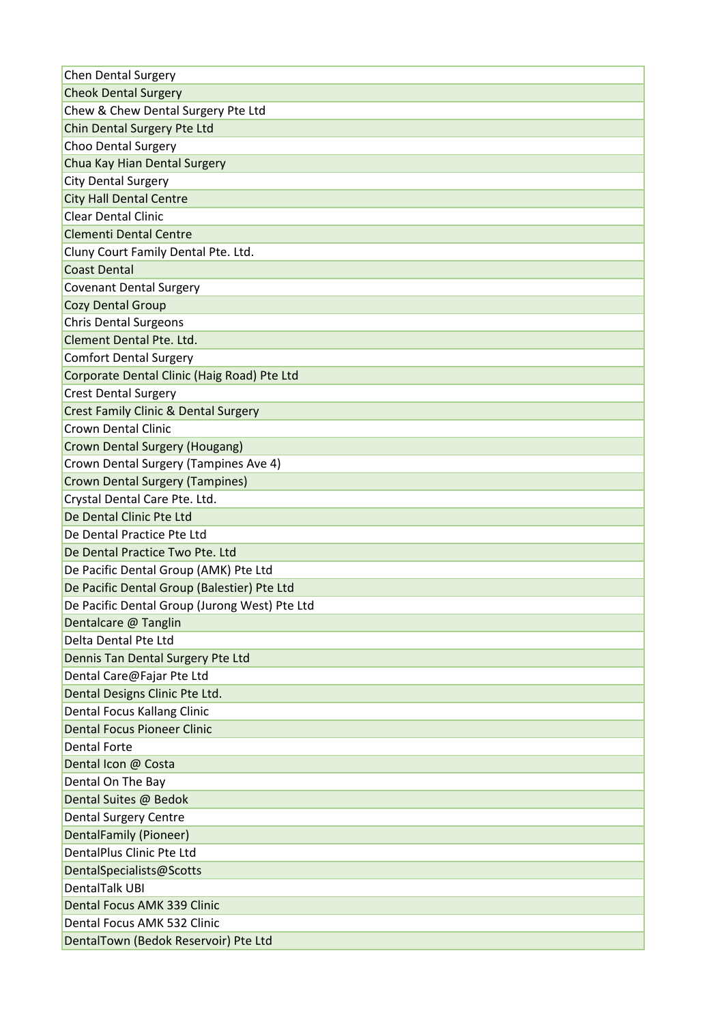| <b>Chen Dental Surgery</b>                      |
|-------------------------------------------------|
| <b>Cheok Dental Surgery</b>                     |
| Chew & Chew Dental Surgery Pte Ltd              |
| Chin Dental Surgery Pte Ltd                     |
| Choo Dental Surgery                             |
| Chua Kay Hian Dental Surgery                    |
| <b>City Dental Surgery</b>                      |
| <b>City Hall Dental Centre</b>                  |
| <b>Clear Dental Clinic</b>                      |
| <b>Clementi Dental Centre</b>                   |
| Cluny Court Family Dental Pte. Ltd.             |
| <b>Coast Dental</b>                             |
| <b>Covenant Dental Surgery</b>                  |
| <b>Cozy Dental Group</b>                        |
| <b>Chris Dental Surgeons</b>                    |
| Clement Dental Pte. Ltd.                        |
| <b>Comfort Dental Surgery</b>                   |
| Corporate Dental Clinic (Haig Road) Pte Ltd     |
| <b>Crest Dental Surgery</b>                     |
| <b>Crest Family Clinic &amp; Dental Surgery</b> |
| <b>Crown Dental Clinic</b>                      |
| Crown Dental Surgery (Hougang)                  |
| Crown Dental Surgery (Tampines Ave 4)           |
| <b>Crown Dental Surgery (Tampines)</b>          |
| Crystal Dental Care Pte. Ltd.                   |
| De Dental Clinic Pte Ltd                        |
| De Dental Practice Pte Ltd                      |
| De Dental Practice Two Pte. Ltd                 |
| De Pacific Dental Group (AMK) Pte Ltd           |
| De Pacific Dental Group (Balestier) Pte Ltd     |
| De Pacific Dental Group (Jurong West) Pte Ltd   |
| Dentalcare @ Tanglin                            |
| Delta Dental Pte Ltd                            |
| Dennis Tan Dental Surgery Pte Ltd               |
| Dental Care@Fajar Pte Ltd                       |
| Dental Designs Clinic Pte Ltd.                  |
| Dental Focus Kallang Clinic                     |
| <b>Dental Focus Pioneer Clinic</b>              |
| <b>Dental Forte</b>                             |
| Dental Icon @ Costa                             |
| Dental On The Bay                               |
| Dental Suites @ Bedok                           |
| <b>Dental Surgery Centre</b>                    |
| DentalFamily (Pioneer)                          |
| DentalPlus Clinic Pte Ltd                       |
| DentalSpecialists@Scotts                        |
| <b>DentalTalk UBI</b>                           |
| <b>Dental Focus AMK 339 Clinic</b>              |
| Dental Focus AMK 532 Clinic                     |
| DentalTown (Bedok Reservoir) Pte Ltd            |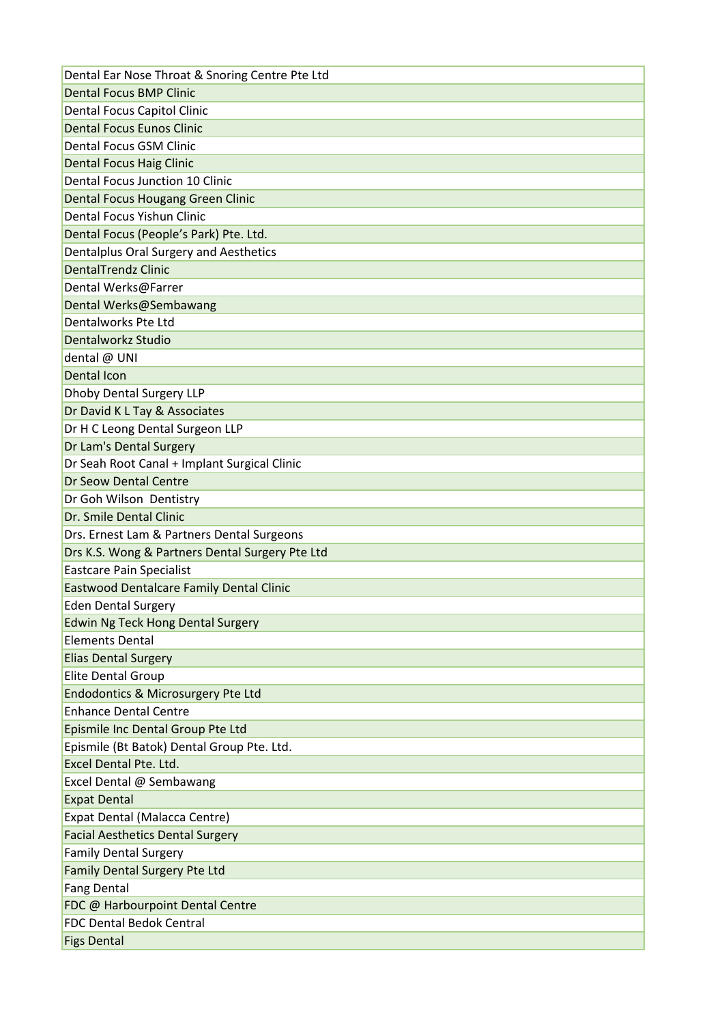| Dental Ear Nose Throat & Snoring Centre Pte Ltd |
|-------------------------------------------------|
| <b>Dental Focus BMP Clinic</b>                  |
| Dental Focus Capitol Clinic                     |
| <b>Dental Focus Eunos Clinic</b>                |
| <b>Dental Focus GSM Clinic</b>                  |
| <b>Dental Focus Haig Clinic</b>                 |
| <b>Dental Focus Junction 10 Clinic</b>          |
| Dental Focus Hougang Green Clinic               |
| Dental Focus Yishun Clinic                      |
| Dental Focus (People's Park) Pte. Ltd.          |
| Dentalplus Oral Surgery and Aesthetics          |
| <b>DentalTrendz Clinic</b>                      |
| Dental Werks@Farrer                             |
| Dental Werks@Sembawang                          |
| Dentalworks Pte Ltd                             |
| Dentalworkz Studio                              |
| dental @ UNI                                    |
| Dental Icon                                     |
| <b>Dhoby Dental Surgery LLP</b>                 |
| Dr David K L Tay & Associates                   |
| Dr H C Leong Dental Surgeon LLP                 |
| Dr Lam's Dental Surgery                         |
| Dr Seah Root Canal + Implant Surgical Clinic    |
| Dr Seow Dental Centre                           |
| Dr Goh Wilson Dentistry                         |
| Dr. Smile Dental Clinic                         |
| Drs. Ernest Lam & Partners Dental Surgeons      |
| Drs K.S. Wong & Partners Dental Surgery Pte Ltd |
| <b>Eastcare Pain Specialist</b>                 |
| <b>Eastwood Dentalcare Family Dental Clinic</b> |
| <b>Eden Dental Surgery</b>                      |
| <b>Edwin Ng Teck Hong Dental Surgery</b>        |
| <b>Elements Dental</b>                          |
| <b>Elias Dental Surgery</b>                     |
| Elite Dental Group                              |
| <b>Endodontics &amp; Microsurgery Pte Ltd</b>   |
| <b>Enhance Dental Centre</b>                    |
| Epismile Inc Dental Group Pte Ltd               |
| Epismile (Bt Batok) Dental Group Pte. Ltd.      |
| Excel Dental Pte. Ltd.                          |
| Excel Dental @ Sembawang                        |
| <b>Expat Dental</b>                             |
| Expat Dental (Malacca Centre)                   |
| <b>Facial Aesthetics Dental Surgery</b>         |
| <b>Family Dental Surgery</b>                    |
| <b>Family Dental Surgery Pte Ltd</b>            |
| <b>Fang Dental</b>                              |
| FDC @ Harbourpoint Dental Centre                |
| <b>FDC Dental Bedok Central</b>                 |
| <b>Figs Dental</b>                              |
|                                                 |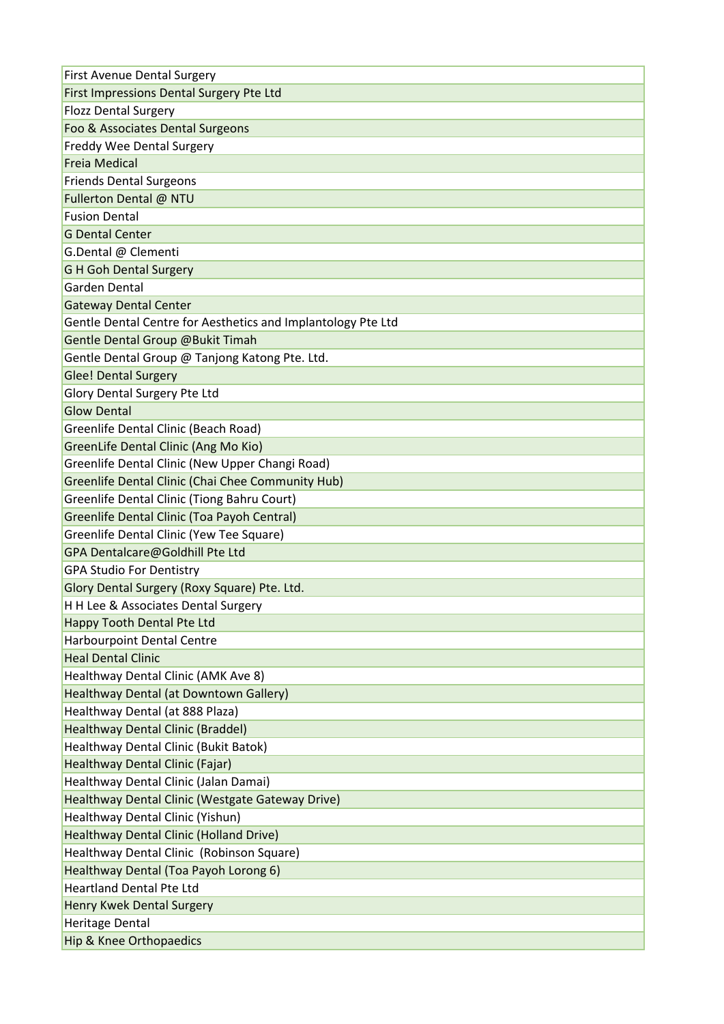| First Avenue Dental Surgery                                     |
|-----------------------------------------------------------------|
| First Impressions Dental Surgery Pte Ltd                        |
| <b>Flozz Dental Surgery</b>                                     |
| Foo & Associates Dental Surgeons                                |
| <b>Freddy Wee Dental Surgery</b>                                |
| <b>Freia Medical</b>                                            |
| <b>Friends Dental Surgeons</b>                                  |
| Fullerton Dental @ NTU                                          |
| <b>Fusion Dental</b>                                            |
| <b>G Dental Center</b>                                          |
| G.Dental @ Clementi                                             |
| <b>G H Goh Dental Surgery</b>                                   |
| Garden Dental                                                   |
| <b>Gateway Dental Center</b>                                    |
| Gentle Dental Centre for Aesthetics and Implantology Pte Ltd    |
| Gentle Dental Group @Bukit Timah                                |
| Gentle Dental Group @ Tanjong Katong Pte. Ltd.                  |
| <b>Glee! Dental Surgery</b>                                     |
| Glory Dental Surgery Pte Ltd                                    |
| <b>Glow Dental</b>                                              |
| Greenlife Dental Clinic (Beach Road)                            |
| GreenLife Dental Clinic (Ang Mo Kio)                            |
| Greenlife Dental Clinic (New Upper Changi Road)                 |
| <b>Greenlife Dental Clinic (Chai Chee Community Hub)</b>        |
| Greenlife Dental Clinic (Tiong Bahru Court)                     |
| Greenlife Dental Clinic (Toa Payoh Central)                     |
| Greenlife Dental Clinic (Yew Tee Square)                        |
| GPA Dentalcare@Goldhill Pte Ltd                                 |
| <b>GPA Studio For Dentistry</b>                                 |
| Glory Dental Surgery (Roxy Square) Pte. Ltd.                    |
| H H Lee & Associates Dental Surgery                             |
|                                                                 |
| Happy Tooth Dental Pte Ltd<br><b>Harbourpoint Dental Centre</b> |
| <b>Heal Dental Clinic</b>                                       |
|                                                                 |
| Healthway Dental Clinic (AMK Ave 8)                             |
| Healthway Dental (at Downtown Gallery)                          |
| Healthway Dental (at 888 Plaza)                                 |
| <b>Healthway Dental Clinic (Braddel)</b>                        |
| Healthway Dental Clinic (Bukit Batok)                           |
| Healthway Dental Clinic (Fajar)                                 |
| Healthway Dental Clinic (Jalan Damai)                           |
| Healthway Dental Clinic (Westgate Gateway Drive)                |
| Healthway Dental Clinic (Yishun)                                |
| Healthway Dental Clinic (Holland Drive)                         |
| Healthway Dental Clinic (Robinson Square)                       |
| Healthway Dental (Toa Payoh Lorong 6)                           |
| <b>Heartland Dental Pte Ltd</b>                                 |
| Henry Kwek Dental Surgery                                       |
| Heritage Dental                                                 |
| Hip & Knee Orthopaedics                                         |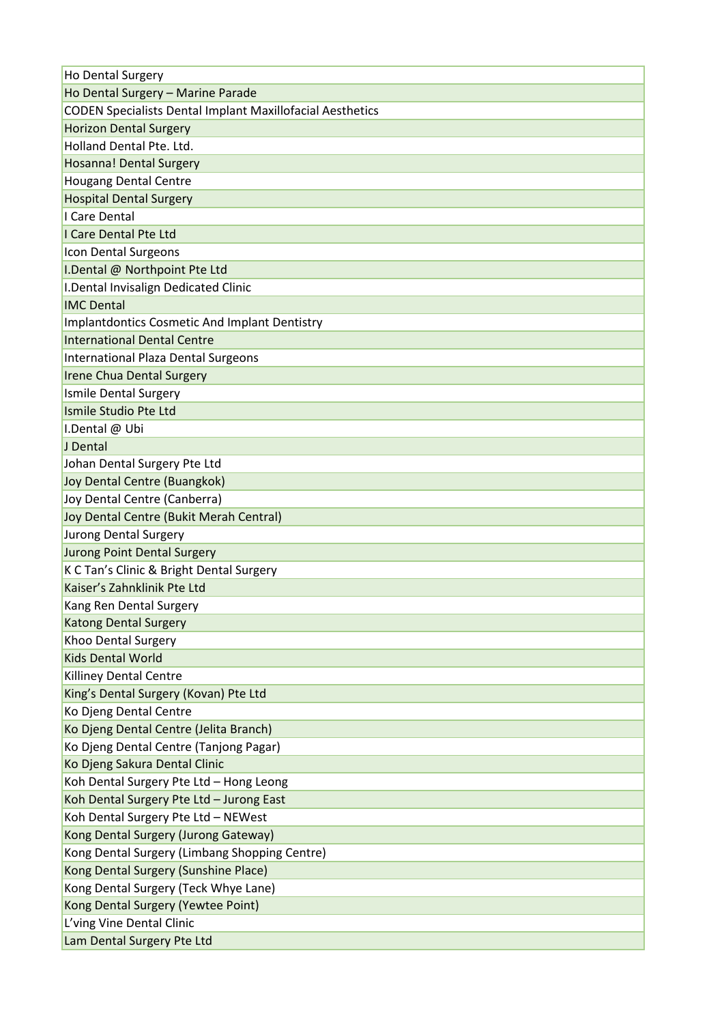| Ho Dental Surgery                                                |
|------------------------------------------------------------------|
| Ho Dental Surgery - Marine Parade                                |
| <b>CODEN Specialists Dental Implant Maxillofacial Aesthetics</b> |
| <b>Horizon Dental Surgery</b>                                    |
| Holland Dental Pte. Ltd.                                         |
| Hosanna! Dental Surgery                                          |
| <b>Hougang Dental Centre</b>                                     |
| <b>Hospital Dental Surgery</b>                                   |
| I Care Dental                                                    |
| I Care Dental Pte Ltd                                            |
| Icon Dental Surgeons                                             |
| I.Dental @ Northpoint Pte Ltd                                    |
| I. Dental Invisalign Dedicated Clinic                            |
| <b>IMC Dental</b>                                                |
| <b>Implantdontics Cosmetic And Implant Dentistry</b>             |
| <b>International Dental Centre</b>                               |
| International Plaza Dental Surgeons                              |
| Irene Chua Dental Surgery                                        |
| <b>Ismile Dental Surgery</b>                                     |
| Ismile Studio Pte Ltd                                            |
| I.Dental @ Ubi                                                   |
| J Dental                                                         |
| Johan Dental Surgery Pte Ltd                                     |
| Joy Dental Centre (Buangkok)                                     |
| Joy Dental Centre (Canberra)                                     |
| Joy Dental Centre (Bukit Merah Central)                          |
| Jurong Dental Surgery                                            |
| <b>Jurong Point Dental Surgery</b>                               |
| K C Tan's Clinic & Bright Dental Surgery                         |
| Kaiser's Zahnklinik Pte Ltd                                      |
| Kang Ren Dental Surgery                                          |
| <b>Katong Dental Surgery</b>                                     |
| Khoo Dental Surgery                                              |
| <b>Kids Dental World</b>                                         |
| <b>Killiney Dental Centre</b>                                    |
| King's Dental Surgery (Kovan) Pte Ltd                            |
| Ko Djeng Dental Centre                                           |
| Ko Djeng Dental Centre (Jelita Branch)                           |
| Ko Djeng Dental Centre (Tanjong Pagar)                           |
| Ko Djeng Sakura Dental Clinic                                    |
| Koh Dental Surgery Pte Ltd - Hong Leong                          |
| Koh Dental Surgery Pte Ltd - Jurong East                         |
| Koh Dental Surgery Pte Ltd - NEWest                              |
| Kong Dental Surgery (Jurong Gateway)                             |
| Kong Dental Surgery (Limbang Shopping Centre)                    |
| Kong Dental Surgery (Sunshine Place)                             |
| Kong Dental Surgery (Teck Whye Lane)                             |
| Kong Dental Surgery (Yewtee Point)                               |
| L'ving Vine Dental Clinic                                        |
| Lam Dental Surgery Pte Ltd                                       |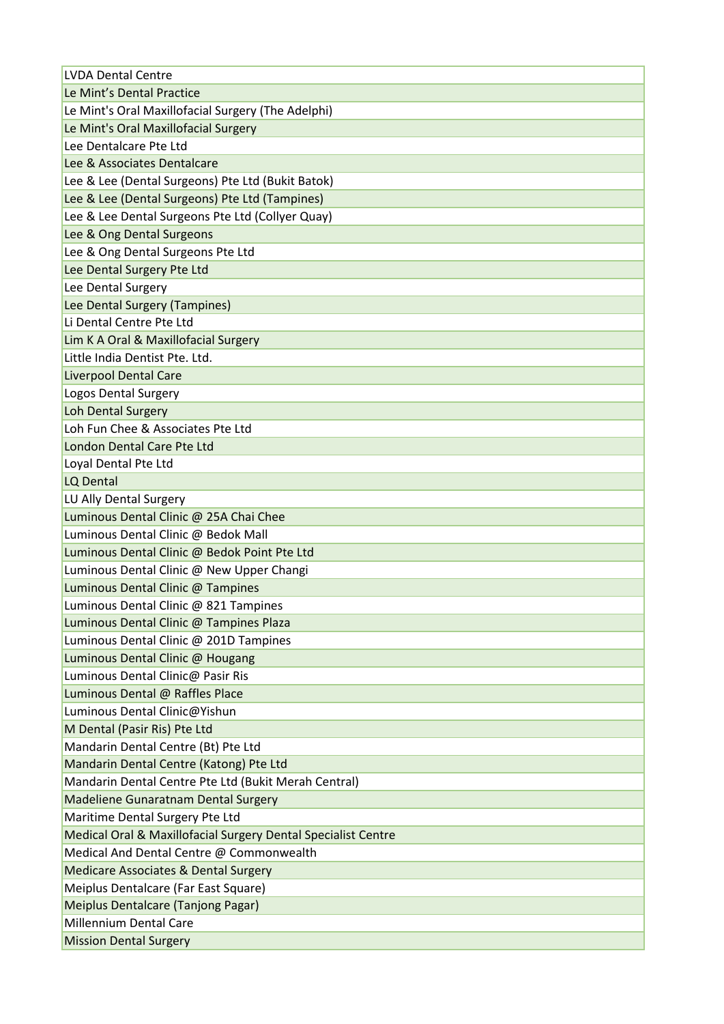| <b>LVDA Dental Centre</b>                                     |
|---------------------------------------------------------------|
| Le Mint's Dental Practice                                     |
| Le Mint's Oral Maxillofacial Surgery (The Adelphi)            |
| Le Mint's Oral Maxillofacial Surgery                          |
| Lee Dentalcare Pte Ltd                                        |
| Lee & Associates Dentalcare                                   |
| Lee & Lee (Dental Surgeons) Pte Ltd (Bukit Batok)             |
| Lee & Lee (Dental Surgeons) Pte Ltd (Tampines)                |
| Lee & Lee Dental Surgeons Pte Ltd (Collyer Quay)              |
| Lee & Ong Dental Surgeons                                     |
| Lee & Ong Dental Surgeons Pte Ltd                             |
| Lee Dental Surgery Pte Ltd                                    |
| Lee Dental Surgery                                            |
| Lee Dental Surgery (Tampines)                                 |
| Li Dental Centre Pte Ltd                                      |
| Lim K A Oral & Maxillofacial Surgery                          |
| Little India Dentist Pte. Ltd.                                |
| <b>Liverpool Dental Care</b>                                  |
| Logos Dental Surgery                                          |
| Loh Dental Surgery                                            |
| Loh Fun Chee & Associates Pte Ltd                             |
| London Dental Care Pte Ltd                                    |
| Loyal Dental Pte Ltd                                          |
| LQ Dental                                                     |
| LU Ally Dental Surgery                                        |
| Luminous Dental Clinic @ 25A Chai Chee                        |
| Luminous Dental Clinic @ Bedok Mall                           |
| Luminous Dental Clinic @ Bedok Point Pte Ltd                  |
| Luminous Dental Clinic @ New Upper Changi                     |
| Luminous Dental Clinic @ Tampines                             |
| Luminous Dental Clinic @ 821 Tampines                         |
| Luminous Dental Clinic @ Tampines Plaza                       |
| Luminous Dental Clinic @ 201D Tampines                        |
| Luminous Dental Clinic @ Hougang                              |
| Luminous Dental Clinic@ Pasir Ris                             |
| Luminous Dental @ Raffles Place                               |
| Luminous Dental Clinic@Yishun                                 |
| M Dental (Pasir Ris) Pte Ltd                                  |
| Mandarin Dental Centre (Bt) Pte Ltd                           |
| Mandarin Dental Centre (Katong) Pte Ltd                       |
| Mandarin Dental Centre Pte Ltd (Bukit Merah Central)          |
| <b>Madeliene Gunaratnam Dental Surgery</b>                    |
| Maritime Dental Surgery Pte Ltd                               |
| Medical Oral & Maxillofacial Surgery Dental Specialist Centre |
| Medical And Dental Centre @ Commonwealth                      |
| <b>Medicare Associates &amp; Dental Surgery</b>               |
| Meiplus Dentalcare (Far East Square)                          |
| Meiplus Dentalcare (Tanjong Pagar)                            |
| <b>Millennium Dental Care</b>                                 |
| <b>Mission Dental Surgery</b>                                 |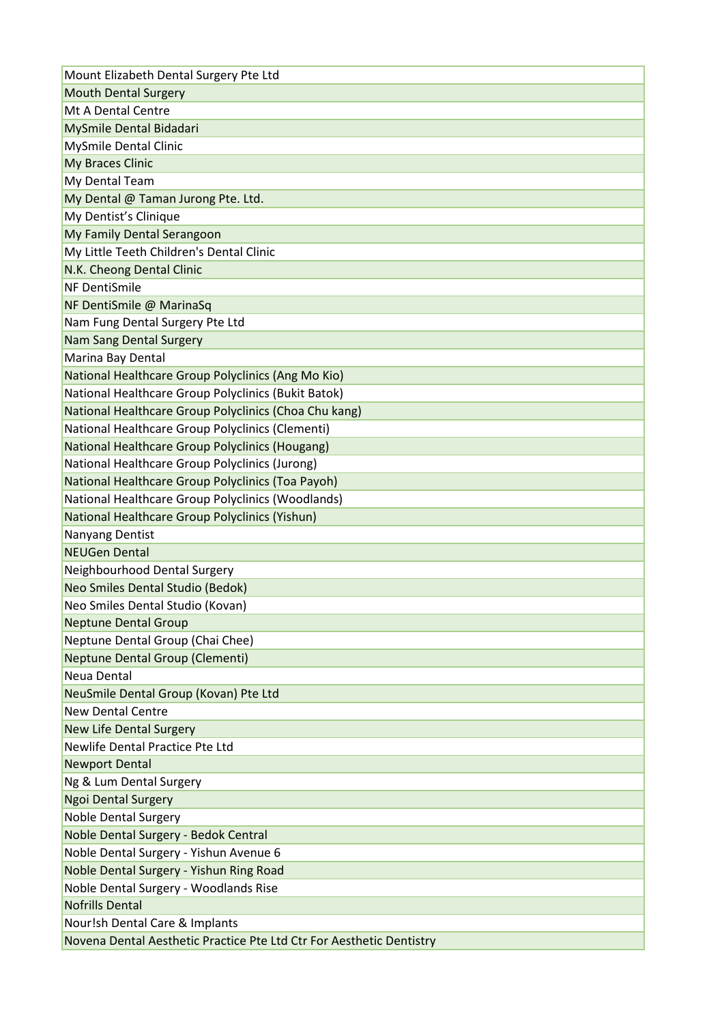| Mount Elizabeth Dental Surgery Pte Ltd                               |
|----------------------------------------------------------------------|
| <b>Mouth Dental Surgery</b>                                          |
| Mt A Dental Centre                                                   |
| MySmile Dental Bidadari                                              |
| <b>MySmile Dental Clinic</b>                                         |
| My Braces Clinic                                                     |
| My Dental Team                                                       |
| My Dental @ Taman Jurong Pte. Ltd.                                   |
| My Dentist's Clinique                                                |
| My Family Dental Serangoon                                           |
| My Little Teeth Children's Dental Clinic                             |
| N.K. Cheong Dental Clinic                                            |
| NF DentiSmile                                                        |
| NF DentiSmile @ MarinaSq                                             |
| Nam Fung Dental Surgery Pte Ltd                                      |
| <b>Nam Sang Dental Surgery</b>                                       |
| Marina Bay Dental                                                    |
| National Healthcare Group Polyclinics (Ang Mo Kio)                   |
| National Healthcare Group Polyclinics (Bukit Batok)                  |
| National Healthcare Group Polyclinics (Choa Chu kang)                |
| National Healthcare Group Polyclinics (Clementi)                     |
| National Healthcare Group Polyclinics (Hougang)                      |
| National Healthcare Group Polyclinics (Jurong)                       |
| National Healthcare Group Polyclinics (Toa Payoh)                    |
| National Healthcare Group Polyclinics (Woodlands)                    |
| National Healthcare Group Polyclinics (Yishun)                       |
| Nanyang Dentist                                                      |
| <b>NEUGen Dental</b>                                                 |
| Neighbourhood Dental Surgery                                         |
| Neo Smiles Dental Studio (Bedok)                                     |
| Neo Smiles Dental Studio (Kovan)                                     |
| <b>Neptune Dental Group</b>                                          |
| Neptune Dental Group (Chai Chee)                                     |
| Neptune Dental Group (Clementi)                                      |
| Neua Dental                                                          |
| NeuSmile Dental Group (Kovan) Pte Ltd                                |
| <b>New Dental Centre</b>                                             |
| <b>New Life Dental Surgery</b>                                       |
| Newlife Dental Practice Pte Ltd                                      |
| <b>Newport Dental</b>                                                |
| Ng & Lum Dental Surgery                                              |
| <b>Ngoi Dental Surgery</b>                                           |
| <b>Noble Dental Surgery</b>                                          |
| Noble Dental Surgery - Bedok Central                                 |
| Noble Dental Surgery - Yishun Avenue 6                               |
| Noble Dental Surgery - Yishun Ring Road                              |
| Noble Dental Surgery - Woodlands Rise                                |
| <b>Nofrills Dental</b>                                               |
| Nour!sh Dental Care & Implants                                       |
| Novena Dental Aesthetic Practice Pte Ltd Ctr For Aesthetic Dentistry |
|                                                                      |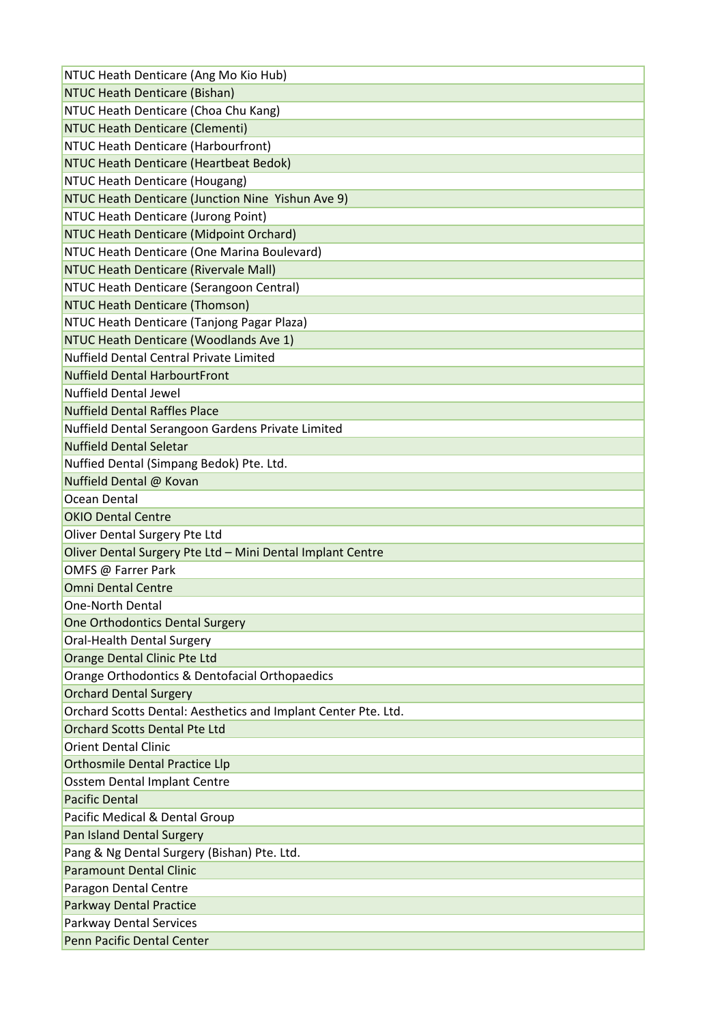| NTUC Heath Denticare (Ang Mo Kio Hub)                          |
|----------------------------------------------------------------|
| NTUC Heath Denticare (Bishan)                                  |
| NTUC Heath Denticare (Choa Chu Kang)                           |
| NTUC Heath Denticare (Clementi)                                |
| NTUC Heath Denticare (Harbourfront)                            |
| NTUC Heath Denticare (Heartbeat Bedok)                         |
| NTUC Heath Denticare (Hougang)                                 |
| NTUC Heath Denticare (Junction Nine Yishun Ave 9)              |
| NTUC Heath Denticare (Jurong Point)                            |
| NTUC Heath Denticare (Midpoint Orchard)                        |
| NTUC Heath Denticare (One Marina Boulevard)                    |
| NTUC Heath Denticare (Rivervale Mall)                          |
| NTUC Heath Denticare (Serangoon Central)                       |
| <b>NTUC Heath Denticare (Thomson)</b>                          |
| NTUC Heath Denticare (Tanjong Pagar Plaza)                     |
| NTUC Heath Denticare (Woodlands Ave 1)                         |
| Nuffield Dental Central Private Limited                        |
| <b>Nuffield Dental HarbourtFront</b>                           |
| <b>Nuffield Dental Jewel</b>                                   |
| <b>Nuffield Dental Raffles Place</b>                           |
| Nuffield Dental Serangoon Gardens Private Limited              |
| <b>Nuffield Dental Seletar</b>                                 |
| Nuffied Dental (Simpang Bedok) Pte. Ltd.                       |
| Nuffield Dental @ Kovan                                        |
| Ocean Dental                                                   |
| <b>OKIO Dental Centre</b>                                      |
| Oliver Dental Surgery Pte Ltd                                  |
| Oliver Dental Surgery Pte Ltd - Mini Dental Implant Centre     |
| OMFS @ Farrer Park                                             |
| <b>Omni Dental Centre</b>                                      |
| <b>One-North Dental</b>                                        |
| One Orthodontics Dental Surgery                                |
| Oral-Health Dental Surgery                                     |
| Orange Dental Clinic Pte Ltd                                   |
| Orange Orthodontics & Dentofacial Orthopaedics                 |
| <b>Orchard Dental Surgery</b>                                  |
| Orchard Scotts Dental: Aesthetics and Implant Center Pte. Ltd. |
|                                                                |
| <b>Orchard Scotts Dental Pte Ltd</b>                           |
| <b>Orient Dental Clinic</b>                                    |
| <b>Orthosmile Dental Practice Llp</b>                          |
| Osstem Dental Implant Centre                                   |
| <b>Pacific Dental</b>                                          |
| Pacific Medical & Dental Group                                 |
| Pan Island Dental Surgery                                      |
| Pang & Ng Dental Surgery (Bishan) Pte. Ltd.                    |
| <b>Paramount Dental Clinic</b>                                 |
| Paragon Dental Centre                                          |
| <b>Parkway Dental Practice</b>                                 |
| <b>Parkway Dental Services</b>                                 |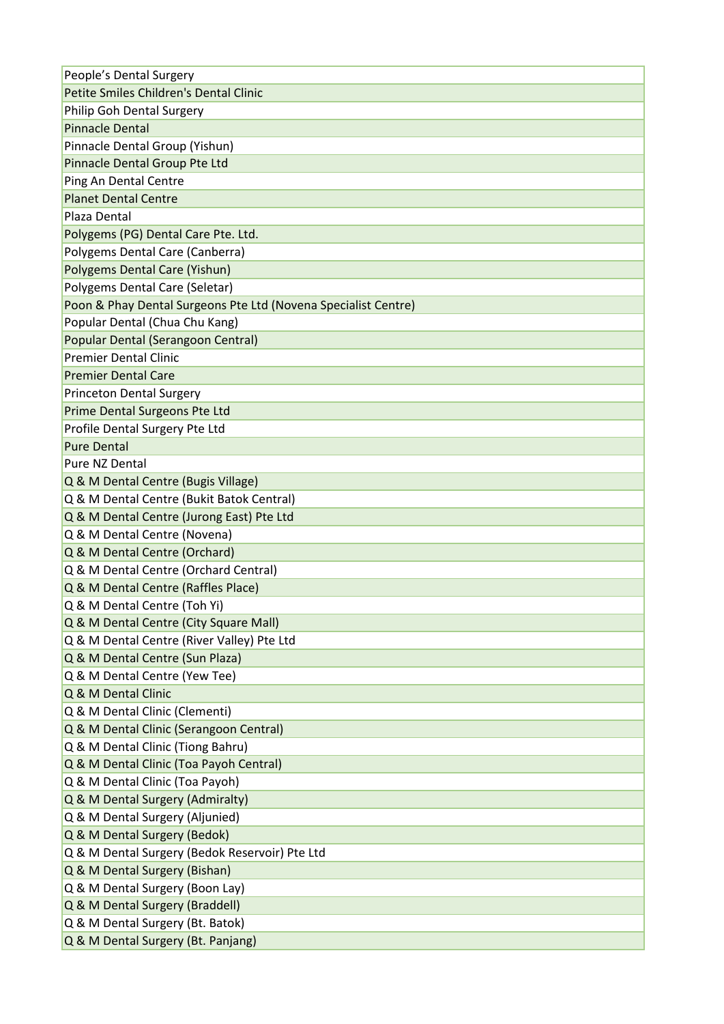| People's Dental Surgery                                        |
|----------------------------------------------------------------|
| Petite Smiles Children's Dental Clinic                         |
| Philip Goh Dental Surgery                                      |
| <b>Pinnacle Dental</b>                                         |
| Pinnacle Dental Group (Yishun)                                 |
| Pinnacle Dental Group Pte Ltd                                  |
| Ping An Dental Centre                                          |
| <b>Planet Dental Centre</b>                                    |
| Plaza Dental                                                   |
| Polygems (PG) Dental Care Pte. Ltd.                            |
| Polygems Dental Care (Canberra)                                |
| Polygems Dental Care (Yishun)                                  |
| Polygems Dental Care (Seletar)                                 |
| Poon & Phay Dental Surgeons Pte Ltd (Novena Specialist Centre) |
| Popular Dental (Chua Chu Kang)                                 |
| Popular Dental (Serangoon Central)                             |
| <b>Premier Dental Clinic</b>                                   |
| <b>Premier Dental Care</b>                                     |
| <b>Princeton Dental Surgery</b>                                |
| Prime Dental Surgeons Pte Ltd                                  |
| Profile Dental Surgery Pte Ltd                                 |
| <b>Pure Dental</b>                                             |
| Pure NZ Dental                                                 |
| Q & M Dental Centre (Bugis Village)                            |
| Q & M Dental Centre (Bukit Batok Central)                      |
| Q & M Dental Centre (Jurong East) Pte Ltd                      |
| Q & M Dental Centre (Novena)                                   |
| Q & M Dental Centre (Orchard)                                  |
| Q & M Dental Centre (Orchard Central)                          |
| Q & M Dental Centre (Raffles Place)                            |
| Q & M Dental Centre (Toh Yi)                                   |
| Q & M Dental Centre (City Square Mall)                         |
| Q & M Dental Centre (River Valley) Pte Ltd                     |
| Q & M Dental Centre (Sun Plaza)                                |
| Q & M Dental Centre (Yew Tee)                                  |
| Q & M Dental Clinic                                            |
| Q & M Dental Clinic (Clementi)                                 |
| Q & M Dental Clinic (Serangoon Central)                        |
| Q & M Dental Clinic (Tiong Bahru)                              |
| Q & M Dental Clinic (Toa Payoh Central)                        |
| Q & M Dental Clinic (Toa Payoh)                                |
| Q & M Dental Surgery (Admiralty)                               |
| Q & M Dental Surgery (Aljunied)                                |
| Q & M Dental Surgery (Bedok)                                   |
| Q & M Dental Surgery (Bedok Reservoir) Pte Ltd                 |
| Q & M Dental Surgery (Bishan)                                  |
| Q & M Dental Surgery (Boon Lay)                                |
| Q & M Dental Surgery (Braddell)                                |
| Q & M Dental Surgery (Bt. Batok)                               |
| Q & M Dental Surgery (Bt. Panjang)                             |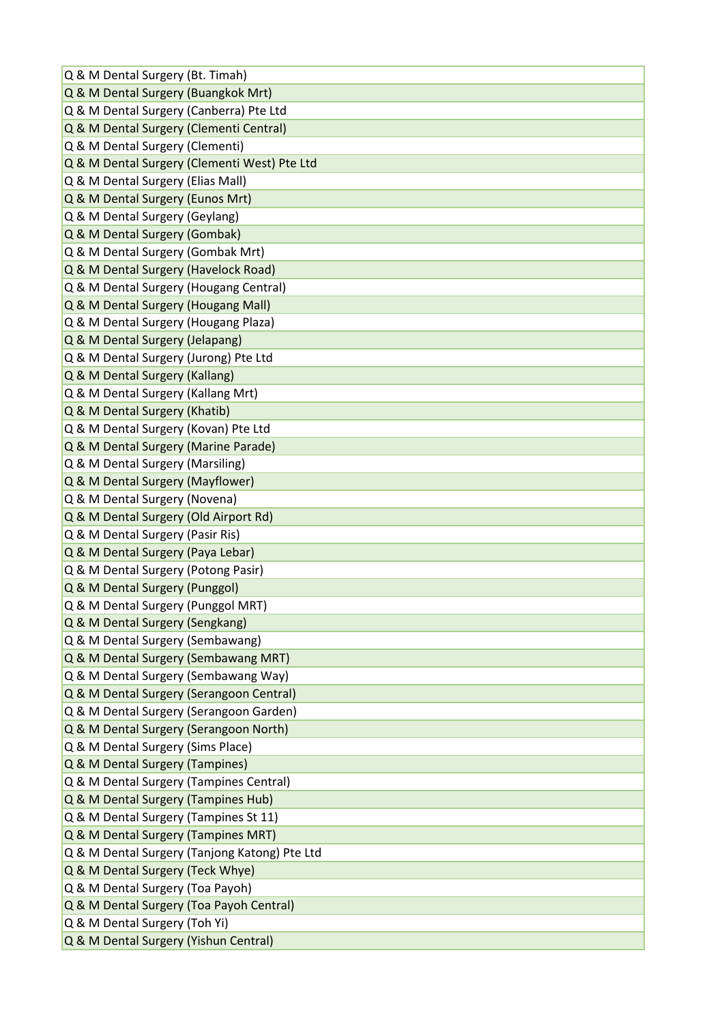| Q & M Dental Surgery (Bt. Timah)              |
|-----------------------------------------------|
| Q & M Dental Surgery (Buangkok Mrt)           |
| Q & M Dental Surgery (Canberra) Pte Ltd       |
| Q & M Dental Surgery (Clementi Central)       |
| Q & M Dental Surgery (Clementi)               |
| Q & M Dental Surgery (Clementi West) Pte Ltd  |
| Q & M Dental Surgery (Elias Mall)             |
| Q & M Dental Surgery (Eunos Mrt)              |
| Q & M Dental Surgery (Geylang)                |
| Q & M Dental Surgery (Gombak)                 |
| Q & M Dental Surgery (Gombak Mrt)             |
| Q & M Dental Surgery (Havelock Road)          |
| Q & M Dental Surgery (Hougang Central)        |
| Q & M Dental Surgery (Hougang Mall)           |
| Q & M Dental Surgery (Hougang Plaza)          |
| Q & M Dental Surgery (Jelapang)               |
| Q & M Dental Surgery (Jurong) Pte Ltd         |
| Q & M Dental Surgery (Kallang)                |
| Q & M Dental Surgery (Kallang Mrt)            |
| Q & M Dental Surgery (Khatib)                 |
| Q & M Dental Surgery (Kovan) Pte Ltd          |
| Q & M Dental Surgery (Marine Parade)          |
| Q & M Dental Surgery (Marsiling)              |
| Q & M Dental Surgery (Mayflower)              |
| Q & M Dental Surgery (Novena)                 |
| Q & M Dental Surgery (Old Airport Rd)         |
| Q & M Dental Surgery (Pasir Ris)              |
| Q & M Dental Surgery (Paya Lebar)             |
| Q & M Dental Surgery (Potong Pasir)           |
| Q & M Dental Surgery (Punggol)                |
| Q & M Dental Surgery (Punggol MRT)            |
| Q & M Dental Surgery (Sengkang)               |
| Q & M Dental Surgery (Sembawang)              |
| Q & M Dental Surgery (Sembawang MRT)          |
| Q & M Dental Surgery (Sembawang Way)          |
| Q & M Dental Surgery (Serangoon Central)      |
| Q & M Dental Surgery (Serangoon Garden)       |
| Q & M Dental Surgery (Serangoon North)        |
| Q & M Dental Surgery (Sims Place)             |
| Q & M Dental Surgery (Tampines)               |
| Q & M Dental Surgery (Tampines Central)       |
| Q & M Dental Surgery (Tampines Hub)           |
| Q & M Dental Surgery (Tampines St 11)         |
| Q & M Dental Surgery (Tampines MRT)           |
| Q & M Dental Surgery (Tanjong Katong) Pte Ltd |
| Q & M Dental Surgery (Teck Whye)              |
| Q & M Dental Surgery (Toa Payoh)              |
| Q & M Dental Surgery (Toa Payoh Central)      |
| Q & M Dental Surgery (Toh Yi)                 |
| Q & M Dental Surgery (Yishun Central)         |
|                                               |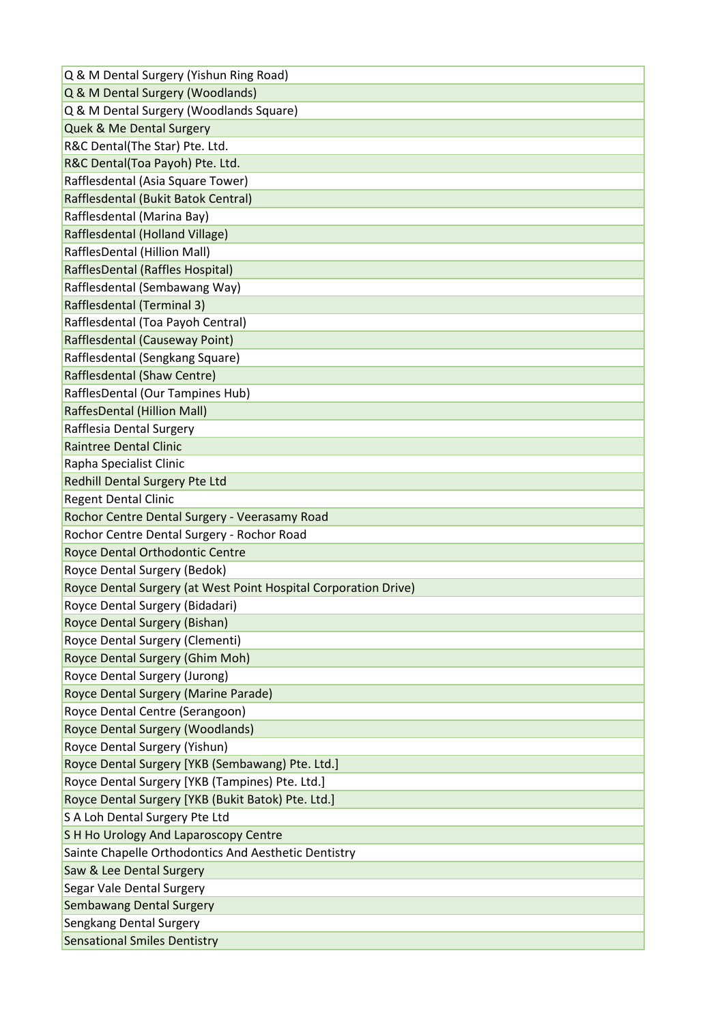| Q & M Dental Surgery (Woodlands)                                                                   |
|----------------------------------------------------------------------------------------------------|
| Q & M Dental Surgery (Woodlands Square)                                                            |
| Quek & Me Dental Surgery                                                                           |
| R&C Dental(The Star) Pte. Ltd.                                                                     |
| R&C Dental(Toa Payoh) Pte. Ltd.                                                                    |
| Rafflesdental (Asia Square Tower)                                                                  |
| Rafflesdental (Bukit Batok Central)                                                                |
| Rafflesdental (Marina Bay)                                                                         |
| Rafflesdental (Holland Village)                                                                    |
| RafflesDental (Hillion Mall)                                                                       |
| RafflesDental (Raffles Hospital)                                                                   |
| Rafflesdental (Sembawang Way)                                                                      |
| Rafflesdental (Terminal 3)                                                                         |
| Rafflesdental (Toa Payoh Central)                                                                  |
| Rafflesdental (Causeway Point)                                                                     |
| Rafflesdental (Sengkang Square)                                                                    |
| Rafflesdental (Shaw Centre)                                                                        |
| RafflesDental (Our Tampines Hub)                                                                   |
| RaffesDental (Hillion Mall)                                                                        |
| Rafflesia Dental Surgery                                                                           |
| <b>Raintree Dental Clinic</b>                                                                      |
| Rapha Specialist Clinic                                                                            |
| Redhill Dental Surgery Pte Ltd                                                                     |
| <b>Regent Dental Clinic</b>                                                                        |
| Rochor Centre Dental Surgery - Veerasamy Road                                                      |
| Rochor Centre Dental Surgery - Rochor Road                                                         |
| Royce Dental Orthodontic Centre                                                                    |
| Royce Dental Surgery (Bedok)                                                                       |
|                                                                                                    |
|                                                                                                    |
| Royce Dental Surgery (at West Point Hospital Corporation Drive)<br>Royce Dental Surgery (Bidadari) |
| Royce Dental Surgery (Bishan)                                                                      |
| Royce Dental Surgery (Clementi)                                                                    |
|                                                                                                    |
| Royce Dental Surgery (Ghim Moh)                                                                    |
| Royce Dental Surgery (Jurong)                                                                      |
| Royce Dental Surgery (Marine Parade)<br>Royce Dental Centre (Serangoon)                            |
|                                                                                                    |
| <b>Royce Dental Surgery (Woodlands)</b><br>Royce Dental Surgery (Yishun)                           |
|                                                                                                    |
| Royce Dental Surgery [YKB (Sembawang) Pte. Ltd.]                                                   |
| Royce Dental Surgery [YKB (Tampines) Pte. Ltd.]                                                    |
| Royce Dental Surgery [YKB (Bukit Batok) Pte. Ltd.]<br>S A Loh Dental Surgery Pte Ltd               |
|                                                                                                    |
| S H Ho Urology And Laparoscopy Centre                                                              |
| Sainte Chapelle Orthodontics And Aesthetic Dentistry                                               |
| Saw & Lee Dental Surgery                                                                           |
| Segar Vale Dental Surgery                                                                          |
| <b>Sembawang Dental Surgery</b><br>Sengkang Dental Surgery                                         |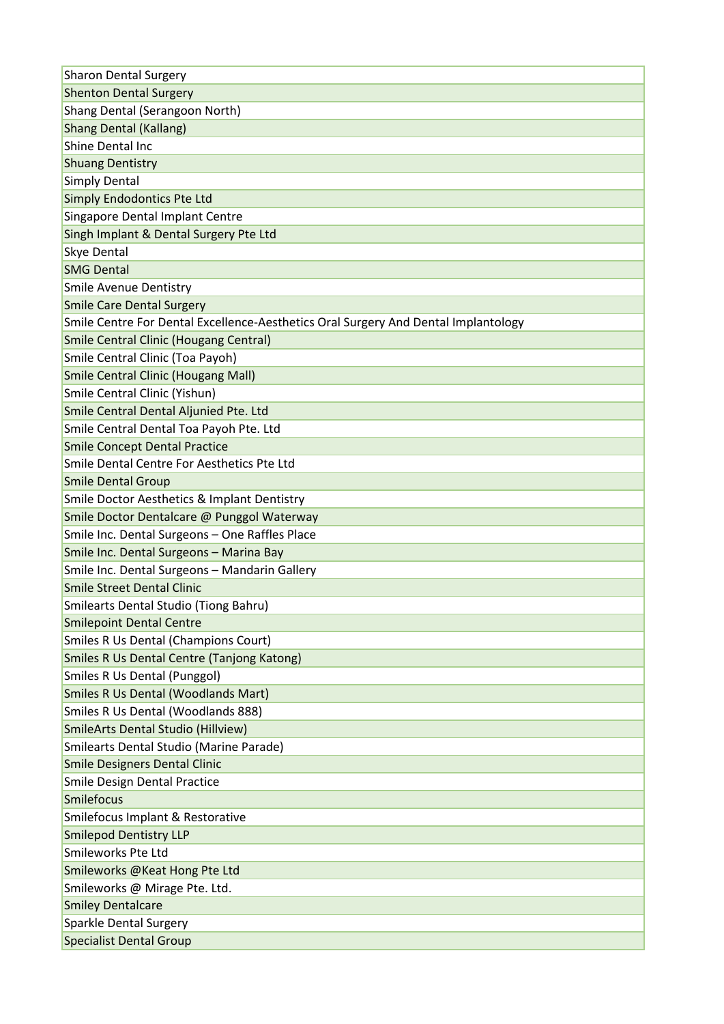| <b>Sharon Dental Surgery</b>                                                       |
|------------------------------------------------------------------------------------|
| <b>Shenton Dental Surgery</b>                                                      |
| Shang Dental (Serangoon North)                                                     |
| <b>Shang Dental (Kallang)</b>                                                      |
| Shine Dental Inc                                                                   |
| <b>Shuang Dentistry</b>                                                            |
| <b>Simply Dental</b>                                                               |
| Simply Endodontics Pte Ltd                                                         |
| Singapore Dental Implant Centre                                                    |
| Singh Implant & Dental Surgery Pte Ltd                                             |
| <b>Skye Dental</b>                                                                 |
| <b>SMG Dental</b>                                                                  |
| <b>Smile Avenue Dentistry</b>                                                      |
| <b>Smile Care Dental Surgery</b>                                                   |
| Smile Centre For Dental Excellence-Aesthetics Oral Surgery And Dental Implantology |
| <b>Smile Central Clinic (Hougang Central)</b>                                      |
| Smile Central Clinic (Toa Payoh)                                                   |
| <b>Smile Central Clinic (Hougang Mall)</b>                                         |
| Smile Central Clinic (Yishun)                                                      |
| Smile Central Dental Aljunied Pte. Ltd                                             |
| Smile Central Dental Toa Payoh Pte. Ltd                                            |
| <b>Smile Concept Dental Practice</b>                                               |
| Smile Dental Centre For Aesthetics Pte Ltd                                         |
| <b>Smile Dental Group</b>                                                          |
| <b>Smile Doctor Aesthetics &amp; Implant Dentistry</b>                             |
| Smile Doctor Dentalcare @ Punggol Waterway                                         |
| Smile Inc. Dental Surgeons - One Raffles Place                                     |
| Smile Inc. Dental Surgeons - Marina Bay                                            |
| Smile Inc. Dental Surgeons - Mandarin Gallery                                      |
| <b>Smile Street Dental Clinic</b>                                                  |
| <b>Smilearts Dental Studio (Tiong Bahru)</b>                                       |
| <b>Smilepoint Dental Centre</b>                                                    |
| <b>Smiles R Us Dental (Champions Court)</b>                                        |
| <b>Smiles R Us Dental Centre (Tanjong Katong)</b>                                  |
| <b>Smiles R Us Dental (Punggol)</b>                                                |
| <b>Smiles R Us Dental (Woodlands Mart)</b>                                         |
| Smiles R Us Dental (Woodlands 888)                                                 |
| <b>SmileArts Dental Studio (Hillview)</b>                                          |
| Smilearts Dental Studio (Marine Parade)                                            |
| <b>Smile Designers Dental Clinic</b>                                               |
| Smile Design Dental Practice                                                       |
| Smilefocus                                                                         |
| Smilefocus Implant & Restorative                                                   |
| <b>Smilepod Dentistry LLP</b>                                                      |
| Smileworks Pte Ltd                                                                 |
| Smileworks @Keat Hong Pte Ltd                                                      |
| Smileworks @ Mirage Pte. Ltd.                                                      |
| <b>Smiley Dentalcare</b>                                                           |
| Sparkle Dental Surgery                                                             |
| <b>Specialist Dental Group</b>                                                     |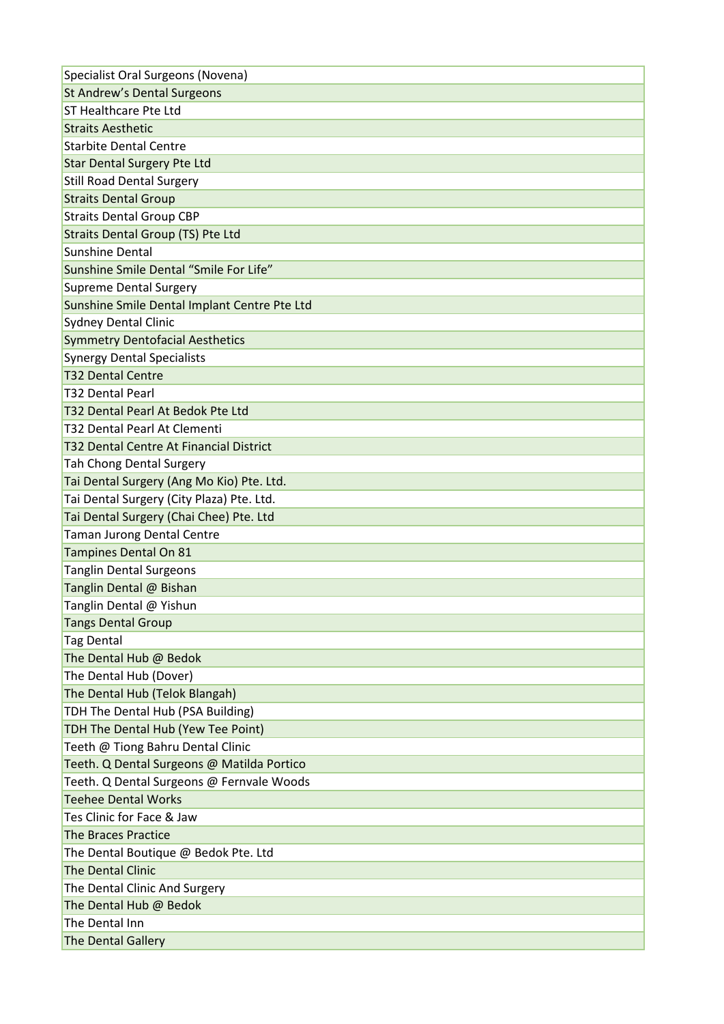| St Andrew's Dental Surgeons                  |
|----------------------------------------------|
|                                              |
| ST Healthcare Pte Ltd                        |
| <b>Straits Aesthetic</b>                     |
| <b>Starbite Dental Centre</b>                |
| <b>Star Dental Surgery Pte Ltd</b>           |
| <b>Still Road Dental Surgery</b>             |
| <b>Straits Dental Group</b>                  |
| <b>Straits Dental Group CBP</b>              |
| <b>Straits Dental Group (TS) Pte Ltd</b>     |
| <b>Sunshine Dental</b>                       |
| Sunshine Smile Dental "Smile For Life"       |
| <b>Supreme Dental Surgery</b>                |
| Sunshine Smile Dental Implant Centre Pte Ltd |
| <b>Sydney Dental Clinic</b>                  |
| <b>Symmetry Dentofacial Aesthetics</b>       |
| <b>Synergy Dental Specialists</b>            |
| <b>T32 Dental Centre</b>                     |
| <b>T32 Dental Pearl</b>                      |
| T32 Dental Pearl At Bedok Pte Ltd            |
| T32 Dental Pearl At Clementi                 |
| T32 Dental Centre At Financial District      |
| <b>Tah Chong Dental Surgery</b>              |
| Tai Dental Surgery (Ang Mo Kio) Pte. Ltd.    |
| Tai Dental Surgery (City Plaza) Pte. Ltd.    |
| Tai Dental Surgery (Chai Chee) Pte. Ltd      |
| <b>Taman Jurong Dental Centre</b>            |
| Tampines Dental On 81                        |
|                                              |
| <b>Tanglin Dental Surgeons</b>               |
| Tanglin Dental @ Bishan                      |
| Tanglin Dental @ Yishun                      |
| <b>Tangs Dental Group</b>                    |
| <b>Tag Dental</b>                            |
| The Dental Hub @ Bedok                       |
| The Dental Hub (Dover)                       |
| The Dental Hub (Telok Blangah)               |
| TDH The Dental Hub (PSA Building)            |
| TDH The Dental Hub (Yew Tee Point)           |
| Teeth @ Tiong Bahru Dental Clinic            |
| Teeth. Q Dental Surgeons @ Matilda Portico   |
| Teeth. Q Dental Surgeons @ Fernvale Woods    |
| <b>Teehee Dental Works</b>                   |
| Tes Clinic for Face & Jaw                    |
| <b>The Braces Practice</b>                   |
| The Dental Boutique @ Bedok Pte. Ltd         |
| <b>The Dental Clinic</b>                     |
| The Dental Clinic And Surgery                |
| The Dental Hub @ Bedok                       |
| The Dental Inn                               |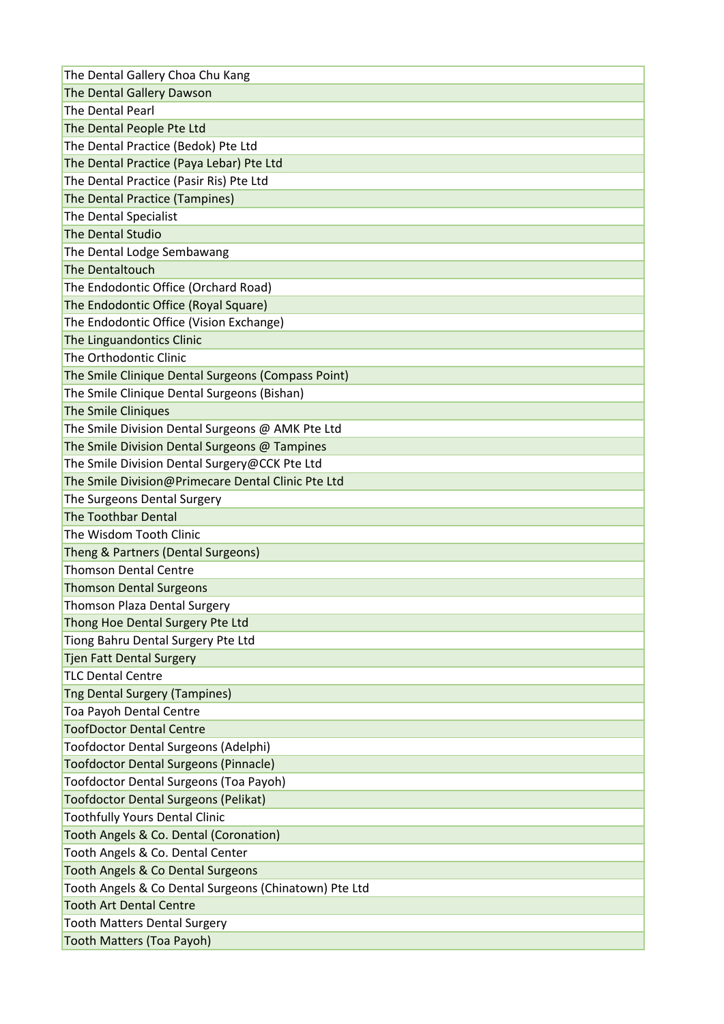| The Dental Gallery Choa Chu Kang                      |
|-------------------------------------------------------|
| The Dental Gallery Dawson                             |
| The Dental Pearl                                      |
| The Dental People Pte Ltd                             |
| The Dental Practice (Bedok) Pte Ltd                   |
| The Dental Practice (Paya Lebar) Pte Ltd              |
| The Dental Practice (Pasir Ris) Pte Ltd               |
| The Dental Practice (Tampines)                        |
| The Dental Specialist                                 |
| <b>The Dental Studio</b>                              |
| The Dental Lodge Sembawang                            |
| The Dentaltouch                                       |
| The Endodontic Office (Orchard Road)                  |
| The Endodontic Office (Royal Square)                  |
| The Endodontic Office (Vision Exchange)               |
| The Linguandontics Clinic                             |
| The Orthodontic Clinic                                |
| The Smile Clinique Dental Surgeons (Compass Point)    |
| The Smile Clinique Dental Surgeons (Bishan)           |
| <b>The Smile Cliniques</b>                            |
| The Smile Division Dental Surgeons @ AMK Pte Ltd      |
| The Smile Division Dental Surgeons @ Tampines         |
| The Smile Division Dental Surgery@CCK Pte Ltd         |
| The Smile Division@Primecare Dental Clinic Pte Ltd    |
| The Surgeons Dental Surgery                           |
|                                                       |
| <b>The Toothbar Dental</b>                            |
| The Wisdom Tooth Clinic                               |
| Theng & Partners (Dental Surgeons)                    |
| <b>Thomson Dental Centre</b>                          |
| <b>Thomson Dental Surgeons</b>                        |
| <b>Thomson Plaza Dental Surgery</b>                   |
| Thong Hoe Dental Surgery Pte Ltd                      |
| Tiong Bahru Dental Surgery Pte Ltd                    |
| <b>Tjen Fatt Dental Surgery</b>                       |
| <b>TLC Dental Centre</b>                              |
| <b>Tng Dental Surgery (Tampines)</b>                  |
| Toa Payoh Dental Centre                               |
| <b>ToofDoctor Dental Centre</b>                       |
| Toofdoctor Dental Surgeons (Adelphi)                  |
| <b>Toofdoctor Dental Surgeons (Pinnacle)</b>          |
| Toofdoctor Dental Surgeons (Toa Payoh)                |
| <b>Toofdoctor Dental Surgeons (Pelikat)</b>           |
| <b>Toothfully Yours Dental Clinic</b>                 |
| Tooth Angels & Co. Dental (Coronation)                |
| Tooth Angels & Co. Dental Center                      |
| <b>Tooth Angels &amp; Co Dental Surgeons</b>          |
| Tooth Angels & Co Dental Surgeons (Chinatown) Pte Ltd |
| <b>Tooth Art Dental Centre</b>                        |
| <b>Tooth Matters Dental Surgery</b>                   |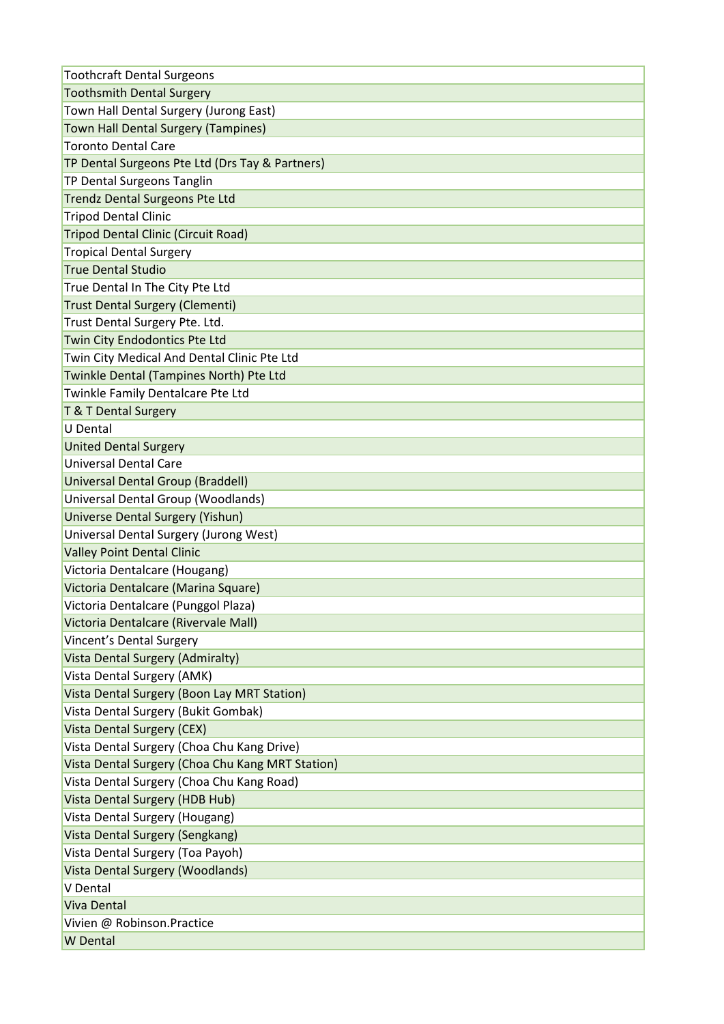| <b>Toothcraft Dental Surgeons</b>                |
|--------------------------------------------------|
| <b>Toothsmith Dental Surgery</b>                 |
| Town Hall Dental Surgery (Jurong East)           |
| <b>Town Hall Dental Surgery (Tampines)</b>       |
| <b>Toronto Dental Care</b>                       |
| TP Dental Surgeons Pte Ltd (Drs Tay & Partners)  |
| TP Dental Surgeons Tanglin                       |
| <b>Trendz Dental Surgeons Pte Ltd</b>            |
| <b>Tripod Dental Clinic</b>                      |
| <b>Tripod Dental Clinic (Circuit Road)</b>       |
| <b>Tropical Dental Surgery</b>                   |
| <b>True Dental Studio</b>                        |
| True Dental In The City Pte Ltd                  |
| <b>Trust Dental Surgery (Clementi)</b>           |
| Trust Dental Surgery Pte. Ltd.                   |
| Twin City Endodontics Pte Ltd                    |
| Twin City Medical And Dental Clinic Pte Ltd      |
| Twinkle Dental (Tampines North) Pte Ltd          |
| Twinkle Family Dentalcare Pte Ltd                |
| T & T Dental Surgery                             |
| <b>U</b> Dental                                  |
| <b>United Dental Surgery</b>                     |
| <b>Universal Dental Care</b>                     |
| Universal Dental Group (Braddell)                |
| Universal Dental Group (Woodlands)               |
| <b>Universe Dental Surgery (Yishun)</b>          |
| Universal Dental Surgery (Jurong West)           |
| <b>Valley Point Dental Clinic</b>                |
| Victoria Dentalcare (Hougang)                    |
| Victoria Dentalcare (Marina Square)              |
| Victoria Dentalcare (Punggol Plaza)              |
| Victoria Dentalcare (Rivervale Mall)             |
| Vincent's Dental Surgery                         |
| <b>Vista Dental Surgery (Admiralty)</b>          |
| Vista Dental Surgery (AMK)                       |
| Vista Dental Surgery (Boon Lay MRT Station)      |
| Vista Dental Surgery (Bukit Gombak)              |
| <b>Vista Dental Surgery (CEX)</b>                |
| Vista Dental Surgery (Choa Chu Kang Drive)       |
| Vista Dental Surgery (Choa Chu Kang MRT Station) |
| Vista Dental Surgery (Choa Chu Kang Road)        |
| Vista Dental Surgery (HDB Hub)                   |
| Vista Dental Surgery (Hougang)                   |
| Vista Dental Surgery (Sengkang)                  |
| Vista Dental Surgery (Toa Payoh)                 |
| Vista Dental Surgery (Woodlands)                 |
| V Dental                                         |
| <b>Viva Dental</b>                               |
| Vivien @ Robinson.Practice                       |
| <b>W</b> Dental                                  |